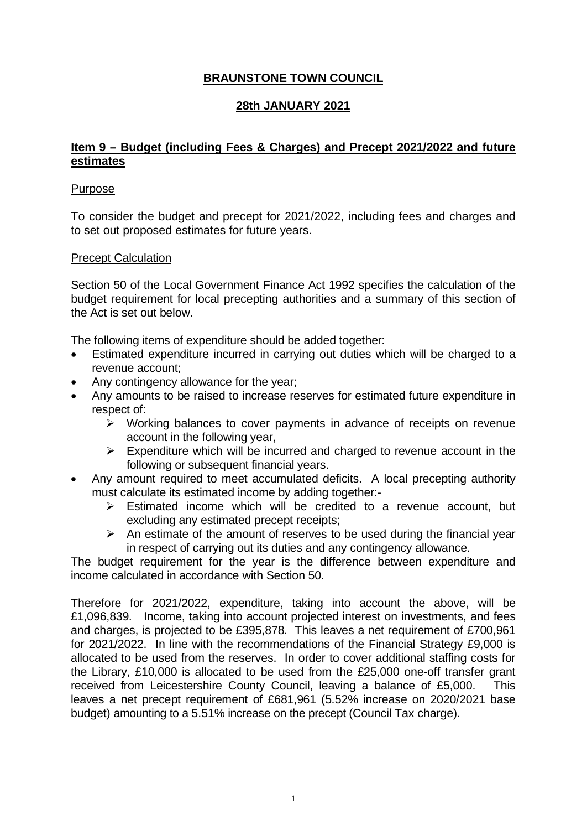## **BRAUNSTONE TOWN COUNCIL**

## **28th JANUARY 2021**

### **Item 9 – Budget (including Fees & Charges) and Precept 2021/2022 and future estimates**

### Purpose

To consider the budget and precept for 2021/2022, including fees and charges and to set out proposed estimates for future years.

### Precept Calculation

Section 50 of the Local Government Finance Act 1992 specifies the calculation of the budget requirement for local precepting authorities and a summary of this section of the Act is set out below.

The following items of expenditure should be added together:

- Estimated expenditure incurred in carrying out duties which will be charged to a revenue account;
- Any contingency allowance for the year;
- Any amounts to be raised to increase reserves for estimated future expenditure in respect of:
	- $\triangleright$  Working balances to cover payments in advance of receipts on revenue account in the following year,
	- $\triangleright$  Expenditure which will be incurred and charged to revenue account in the following or subsequent financial years.
- Any amount required to meet accumulated deficits. A local precepting authority must calculate its estimated income by adding together:-
	- $\triangleright$  Estimated income which will be credited to a revenue account, but excluding any estimated precept receipts;
	- $\triangleright$  An estimate of the amount of reserves to be used during the financial year in respect of carrying out its duties and any contingency allowance.

The budget requirement for the year is the difference between expenditure and income calculated in accordance with Section 50.

Therefore for 2021/2022, expenditure, taking into account the above, will be £1,096,839. Income, taking into account projected interest on investments, and fees and charges, is projected to be £395,878. This leaves a net requirement of £700,961 for 2021/2022. In line with the recommendations of the Financial Strategy £9,000 is allocated to be used from the reserves. In order to cover additional staffing costs for the Library, £10,000 is allocated to be used from the £25,000 one-off transfer grant received from Leicestershire County Council, leaving a balance of £5,000. This leaves a net precept requirement of £681,961 (5.52% increase on 2020/2021 base budget) amounting to a 5.51% increase on the precept (Council Tax charge).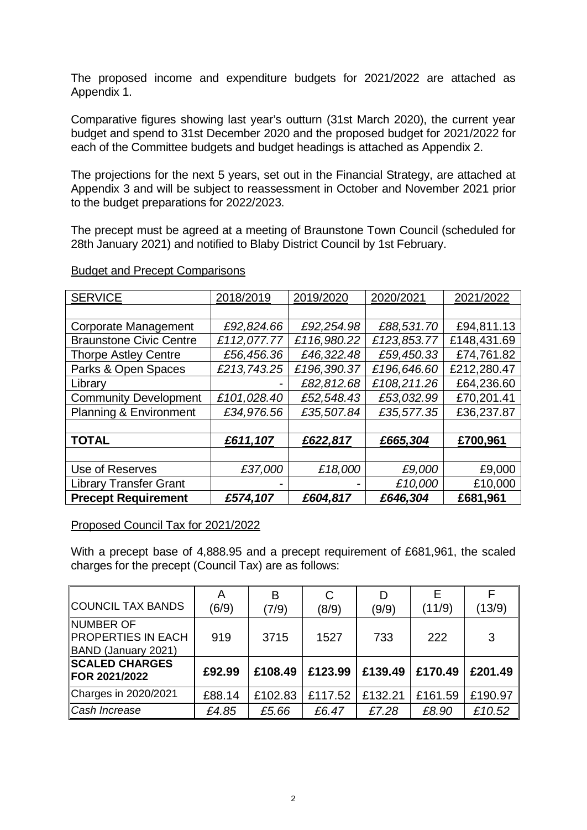The proposed income and expenditure budgets for 2021/2022 are attached as Appendix 1.

Comparative figures showing last year's outturn (31st March 2020), the current year budget and spend to 31st December 2020 and the proposed budget for 2021/2022 for each of the Committee budgets and budget headings is attached as Appendix 2.

The projections for the next 5 years, set out in the Financial Strategy, are attached at Appendix 3 and will be subject to reassessment in October and November 2021 prior to the budget preparations for 2022/2023.

The precept must be agreed at a meeting of Braunstone Town Council (scheduled for 28th January 2021) and notified to Blaby District Council by 1st February.

| <b>SERVICE</b>                    | 2018/2019   | 2019/2020   | 2020/2021   | 2021/2022   |
|-----------------------------------|-------------|-------------|-------------|-------------|
|                                   |             |             |             |             |
| <b>Corporate Management</b>       | £92,824.66  | £92,254.98  | £88,531.70  | £94,811.13  |
| <b>Braunstone Civic Centre</b>    | £112,077.77 | £116,980.22 | £123,853.77 | £148,431.69 |
| <b>Thorpe Astley Centre</b>       | £56,456.36  | £46,322.48  | £59,450.33  | £74,761.82  |
| Parks & Open Spaces               | £213,743.25 | £196,390.37 | £196,646.60 | £212,280.47 |
| Library                           |             | £82,812.68  | £108,211.26 | £64,236.60  |
| <b>Community Development</b>      | £101,028.40 | £52,548.43  | £53,032.99  | £70,201.41  |
| <b>Planning &amp; Environment</b> | £34,976.56  | £35,507.84  | £35,577.35  | £36,237.87  |
|                                   |             |             |             |             |
| <b>TOTAL</b>                      | £611,107    | £622,817    | £665,304    | £700,961    |
|                                   |             |             |             |             |
| Use of Reserves                   | £37,000     | £18,000     | £9,000      | £9,000      |
| <b>Library Transfer Grant</b>     |             |             | £10,000     | £10,000     |
| <b>Precept Requirement</b>        | £574,107    | £604,817    | £646,304    | £681,961    |

### Budget and Precept Comparisons

### Proposed Council Tax for 2021/2022

With a precept base of 4,888.95 and a precept requirement of £681,961, the scaled charges for the precept (Council Tax) are as follows:

| COUNCIL TAX BANDS                                       | A<br>(6/9) | B<br>(7/9) | C<br>(8/9) | D<br>(9/9) | Е<br>(11/9) | (13/9)  |
|---------------------------------------------------------|------------|------------|------------|------------|-------------|---------|
| INUMBER OF<br>PROPERTIES IN EACH<br>BAND (January 2021) | 919        | 3715       | 1527       | 733        | 222         | 3       |
| <b>SCALED CHARGES</b><br>FOR 2021/2022                  | £92.99     | £108.49    | £123.99    | £139.49    | £170.49     | £201.49 |
| Charges in 2020/2021                                    | £88.14     | £102.83    | £117.52    | £132.21    | £161.59     | £190.97 |
| Cash Increase                                           | £4.85      | £5.66      | £6.47      | £7.28      | £8.90       | £10.52  |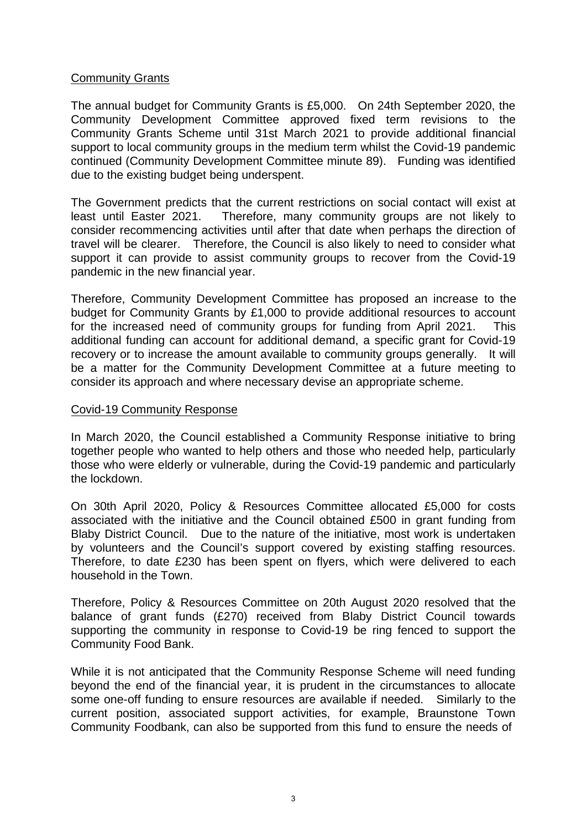### Community Grants

The annual budget for Community Grants is £5,000. On 24th September 2020, the Community Development Committee approved fixed term revisions to the Community Grants Scheme until 31st March 2021 to provide additional financial support to local community groups in the medium term whilst the Covid-19 pandemic continued (Community Development Committee minute 89). Funding was identified due to the existing budget being underspent.

The Government predicts that the current restrictions on social contact will exist at least until Easter 2021. Therefore, many community groups are not likely to consider recommencing activities until after that date when perhaps the direction of travel will be clearer. Therefore, the Council is also likely to need to consider what support it can provide to assist community groups to recover from the Covid-19 pandemic in the new financial year.

Therefore, Community Development Committee has proposed an increase to the budget for Community Grants by £1,000 to provide additional resources to account for the increased need of community groups for funding from April 2021. This additional funding can account for additional demand, a specific grant for Covid-19 recovery or to increase the amount available to community groups generally. It will be a matter for the Community Development Committee at a future meeting to consider its approach and where necessary devise an appropriate scheme.

### Covid-19 Community Response

In March 2020, the Council established a Community Response initiative to bring together people who wanted to help others and those who needed help, particularly those who were elderly or vulnerable, during the Covid-19 pandemic and particularly the lockdown.

On 30th April 2020, Policy & Resources Committee allocated £5,000 for costs associated with the initiative and the Council obtained £500 in grant funding from Blaby District Council. Due to the nature of the initiative, most work is undertaken by volunteers and the Council's support covered by existing staffing resources. Therefore, to date £230 has been spent on flyers, which were delivered to each household in the Town.

Therefore, Policy & Resources Committee on 20th August 2020 resolved that the balance of grant funds (£270) received from Blaby District Council towards supporting the community in response to Covid-19 be ring fenced to support the Community Food Bank.

While it is not anticipated that the Community Response Scheme will need funding beyond the end of the financial year, it is prudent in the circumstances to allocate some one-off funding to ensure resources are available if needed. Similarly to the current position, associated support activities, for example, Braunstone Town Community Foodbank, can also be supported from this fund to ensure the needs of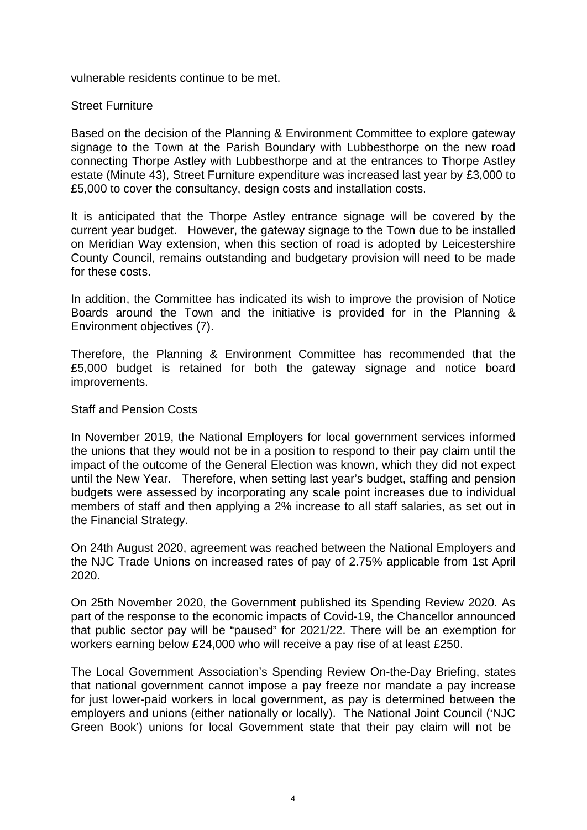vulnerable residents continue to be met.

### Street Furniture

Based on the decision of the Planning & Environment Committee to explore gateway signage to the Town at the Parish Boundary with Lubbesthorpe on the new road connecting Thorpe Astley with Lubbesthorpe and at the entrances to Thorpe Astley estate (Minute 43), Street Furniture expenditure was increased last year by £3,000 to £5,000 to cover the consultancy, design costs and installation costs.

It is anticipated that the Thorpe Astley entrance signage will be covered by the current year budget. However, the gateway signage to the Town due to be installed on Meridian Way extension, when this section of road is adopted by Leicestershire County Council, remains outstanding and budgetary provision will need to be made for these costs.

In addition, the Committee has indicated its wish to improve the provision of Notice Boards around the Town and the initiative is provided for in the Planning & Environment objectives (7).

Therefore, the Planning & Environment Committee has recommended that the £5,000 budget is retained for both the gateway signage and notice board improvements.

### Staff and Pension Costs

In November 2019, the National Employers for local government services informed the unions that they would not be in a position to respond to their pay claim until the impact of the outcome of the General Election was known, which they did not expect until the New Year. Therefore, when setting last year's budget, staffing and pension budgets were assessed by incorporating any scale point increases due to individual members of staff and then applying a 2% increase to all staff salaries, as set out in the Financial Strategy.

On 24th August 2020, agreement was reached between the National Employers and the NJC Trade Unions on increased rates of pay of 2.75% applicable from 1st April 2020.

On 25th November 2020, the Government published its Spending Review 2020. As part of the response to the economic impacts of Covid-19, the Chancellor announced that public sector pay will be "paused" for 2021/22. There will be an exemption for workers earning below £24,000 who will receive a pay rise of at least £250.

The Local Government Association's Spending Review On-the-Day Briefing, states that national government cannot impose a pay freeze nor mandate a pay increase for just lower-paid workers in local government, as pay is determined between the employers and unions (either nationally or locally). The National Joint Council ('NJC Green Book') unions for local Government state that their pay claim will not be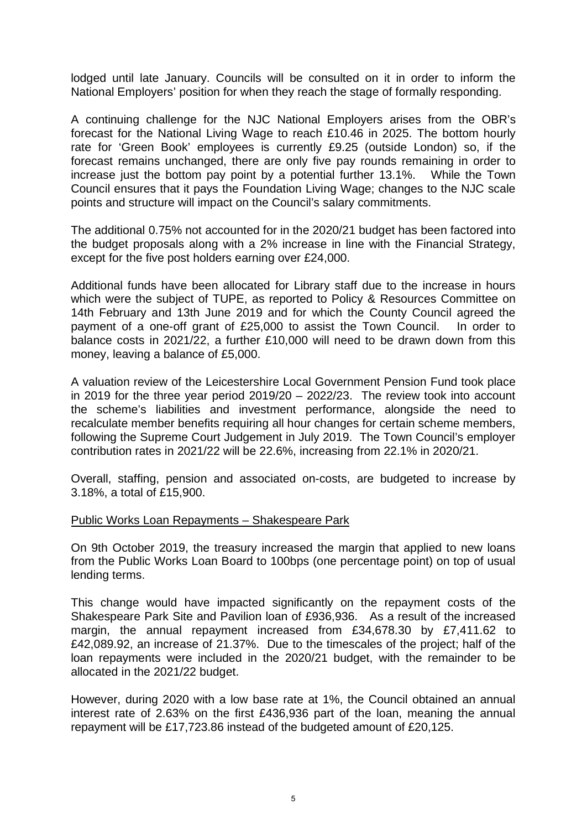lodged until late January. Councils will be consulted on it in order to inform the National Employers' position for when they reach the stage of formally responding.

A continuing challenge for the NJC National Employers arises from the OBR's forecast for the National Living Wage to reach £10.46 in 2025. The bottom hourly rate for 'Green Book' employees is currently £9.25 (outside London) so, if the forecast remains unchanged, there are only five pay rounds remaining in order to increase just the bottom pay point by a potential further 13.1%. While the Town Council ensures that it pays the Foundation Living Wage; changes to the NJC scale points and structure will impact on the Council's salary commitments.

The additional 0.75% not accounted for in the 2020/21 budget has been factored into the budget proposals along with a 2% increase in line with the Financial Strategy, except for the five post holders earning over £24,000.

Additional funds have been allocated for Library staff due to the increase in hours which were the subject of TUPE, as reported to Policy & Resources Committee on 14th February and 13th June 2019 and for which the County Council agreed the payment of a one-off grant of £25,000 to assist the Town Council. In order to balance costs in 2021/22, a further £10,000 will need to be drawn down from this money, leaving a balance of £5,000.

A valuation review of the Leicestershire Local Government Pension Fund took place in 2019 for the three year period 2019/20 – 2022/23. The review took into account the scheme's liabilities and investment performance, alongside the need to recalculate member benefits requiring all hour changes for certain scheme members, following the Supreme Court Judgement in July 2019. The Town Council's employer contribution rates in 2021/22 will be 22.6%, increasing from 22.1% in 2020/21.

Overall, staffing, pension and associated on-costs, are budgeted to increase by 3.18%, a total of £15,900.

#### Public Works Loan Repayments – Shakespeare Park

On 9th October 2019, the treasury increased the margin that applied to new loans from the Public Works Loan Board to 100bps (one percentage point) on top of usual lending terms.

This change would have impacted significantly on the repayment costs of the Shakespeare Park Site and Pavilion loan of £936,936. As a result of the increased margin, the annual repayment increased from £34,678.30 by £7,411.62 to £42,089.92, an increase of 21.37%. Due to the timescales of the project; half of the loan repayments were included in the 2020/21 budget, with the remainder to be allocated in the 2021/22 budget.

However, during 2020 with a low base rate at 1%, the Council obtained an annual interest rate of 2.63% on the first £436,936 part of the loan, meaning the annual repayment will be £17,723.86 instead of the budgeted amount of £20,125.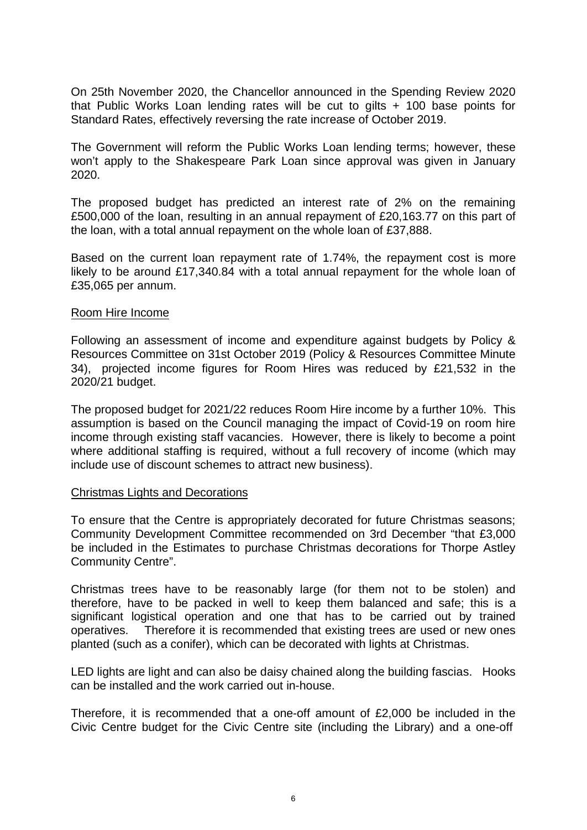On 25th November 2020, the Chancellor announced in the Spending Review 2020 that Public Works Loan lending rates will be cut to gilts + 100 base points for Standard Rates, effectively reversing the rate increase of October 2019.

The Government will reform the Public Works Loan lending terms; however, these won't apply to the Shakespeare Park Loan since approval was given in January 2020.

The proposed budget has predicted an interest rate of 2% on the remaining £500,000 of the loan, resulting in an annual repayment of £20,163.77 on this part of the loan, with a total annual repayment on the whole loan of £37,888.

Based on the current loan repayment rate of 1.74%, the repayment cost is more likely to be around £17,340.84 with a total annual repayment for the whole loan of £35,065 per annum.

#### Room Hire Income

Following an assessment of income and expenditure against budgets by Policy & Resources Committee on 31st October 2019 (Policy & Resources Committee Minute 34), projected income figures for Room Hires was reduced by £21,532 in the 2020/21 budget.

The proposed budget for 2021/22 reduces Room Hire income by a further 10%. This assumption is based on the Council managing the impact of Covid-19 on room hire income through existing staff vacancies. However, there is likely to become a point where additional staffing is required, without a full recovery of income (which may include use of discount schemes to attract new business).

#### Christmas Lights and Decorations

To ensure that the Centre is appropriately decorated for future Christmas seasons; Community Development Committee recommended on 3rd December "that £3,000 be included in the Estimates to purchase Christmas decorations for Thorpe Astley Community Centre".

Christmas trees have to be reasonably large (for them not to be stolen) and therefore, have to be packed in well to keep them balanced and safe; this is a significant logistical operation and one that has to be carried out by trained operatives. Therefore it is recommended that existing trees are used or new ones planted (such as a conifer), which can be decorated with lights at Christmas.

LED lights are light and can also be daisy chained along the building fascias. Hooks can be installed and the work carried out in-house.

Therefore, it is recommended that a one-off amount of £2,000 be included in the Civic Centre budget for the Civic Centre site (including the Library) and a one-off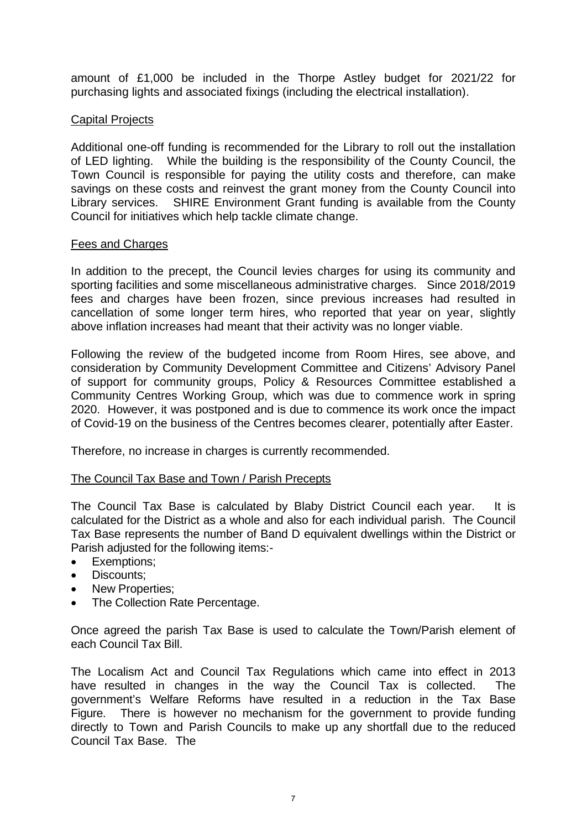amount of £1,000 be included in the Thorpe Astley budget for 2021/22 for purchasing lights and associated fixings (including the electrical installation).

### Capital Projects

Additional one-off funding is recommended for the Library to roll out the installation of LED lighting. While the building is the responsibility of the County Council, the Town Council is responsible for paying the utility costs and therefore, can make savings on these costs and reinvest the grant money from the County Council into Library services. SHIRE Environment Grant funding is available from the County Council for initiatives which help tackle climate change.

### Fees and Charges

In addition to the precept, the Council levies charges for using its community and sporting facilities and some miscellaneous administrative charges. Since 2018/2019 fees and charges have been frozen, since previous increases had resulted in cancellation of some longer term hires, who reported that year on year, slightly above inflation increases had meant that their activity was no longer viable.

Following the review of the budgeted income from Room Hires, see above, and consideration by Community Development Committee and Citizens' Advisory Panel of support for community groups, Policy & Resources Committee established a Community Centres Working Group, which was due to commence work in spring 2020. However, it was postponed and is due to commence its work once the impact of Covid-19 on the business of the Centres becomes clearer, potentially after Easter.

Therefore, no increase in charges is currently recommended.

### The Council Tax Base and Town / Parish Precepts

The Council Tax Base is calculated by Blaby District Council each year. It is calculated for the District as a whole and also for each individual parish. The Council Tax Base represents the number of Band D equivalent dwellings within the District or Parish adjusted for the following items:-

- Exemptions;
- Discounts:
- New Properties;
- The Collection Rate Percentage.

Once agreed the parish Tax Base is used to calculate the Town/Parish element of each Council Tax Bill.

The Localism Act and Council Tax Regulations which came into effect in 2013 have resulted in changes in the way the Council Tax is collected. The government's Welfare Reforms have resulted in a reduction in the Tax Base Figure. There is however no mechanism for the government to provide funding directly to Town and Parish Councils to make up any shortfall due to the reduced Council Tax Base. The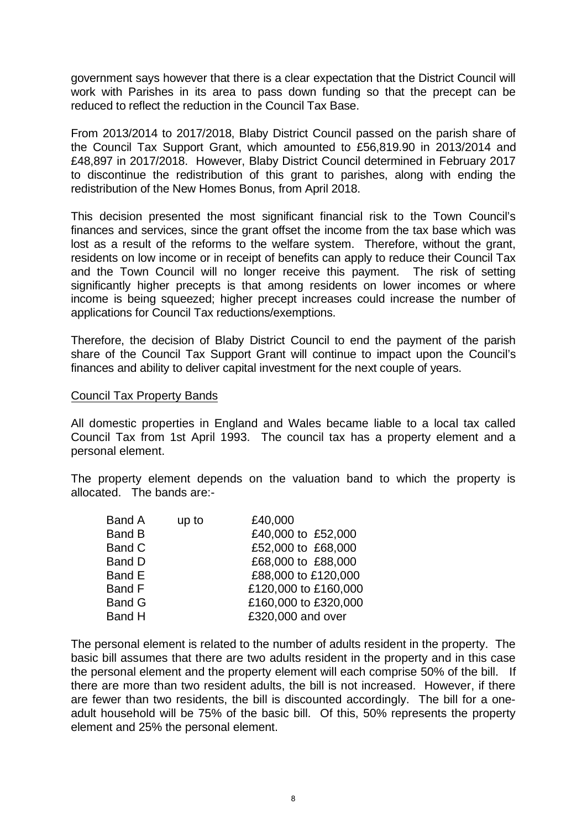government says however that there is a clear expectation that the District Council will work with Parishes in its area to pass down funding so that the precept can be reduced to reflect the reduction in the Council Tax Base.

From 2013/2014 to 2017/2018, Blaby District Council passed on the parish share of the Council Tax Support Grant, which amounted to £56,819.90 in 2013/2014 and £48,897 in 2017/2018. However, Blaby District Council determined in February 2017 to discontinue the redistribution of this grant to parishes, along with ending the redistribution of the New Homes Bonus, from April 2018.

This decision presented the most significant financial risk to the Town Council's finances and services, since the grant offset the income from the tax base which was lost as a result of the reforms to the welfare system. Therefore, without the grant, residents on low income or in receipt of benefits can apply to reduce their Council Tax and the Town Council will no longer receive this payment. The risk of setting significantly higher precepts is that among residents on lower incomes or where income is being squeezed; higher precept increases could increase the number of applications for Council Tax reductions/exemptions.

Therefore, the decision of Blaby District Council to end the payment of the parish share of the Council Tax Support Grant will continue to impact upon the Council's finances and ability to deliver capital investment for the next couple of years.

#### Council Tax Property Bands

All domestic properties in England and Wales became liable to a local tax called Council Tax from 1st April 1993. The council tax has a property element and a personal element.

The property element depends on the valuation band to which the property is allocated. The bands are:-

| Band A        | up to | £40,000              |
|---------------|-------|----------------------|
| <b>Band B</b> |       | £40,000 to £52,000   |
| Band C        |       | £52,000 to £68,000   |
| <b>Band D</b> |       | £68,000 to £88,000   |
| Band E        |       | £88,000 to £120,000  |
| Band F        |       | £120,000 to £160,000 |
| <b>Band G</b> |       | £160,000 to £320,000 |
| <b>Band H</b> |       | £320,000 and over    |
|               |       |                      |

The personal element is related to the number of adults resident in the property. The basic bill assumes that there are two adults resident in the property and in this case the personal element and the property element will each comprise 50% of the bill. If there are more than two resident adults, the bill is not increased. However, if there are fewer than two residents, the bill is discounted accordingly. The bill for a oneadult household will be 75% of the basic bill. Of this, 50% represents the property element and 25% the personal element.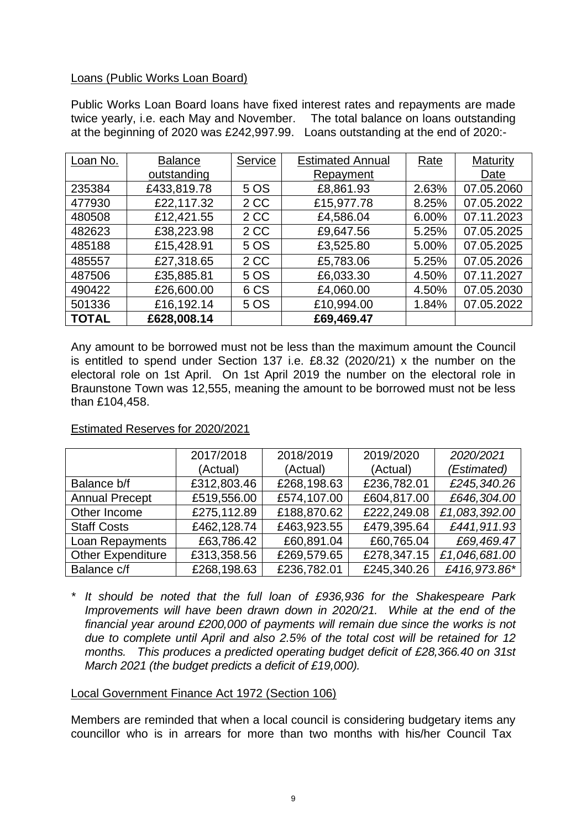### Loans (Public Works Loan Board)

Public Works Loan Board loans have fixed interest rates and repayments are made twice yearly, i.e. each May and November. The total balance on loans outstanding at the beginning of 2020 was £242,997.99. Loans outstanding at the end of 2020:-

| Loan No.     | <b>Balance</b> | Service | <b>Estimated Annual</b> | Rate  | Maturity   |
|--------------|----------------|---------|-------------------------|-------|------------|
|              | outstanding    |         | Repayment               |       | Date       |
| 235384       | £433,819.78    | 5 OS    | £8,861.93               | 2.63% | 07.05.2060 |
| 477930       | £22,117.32     | 2 CC    | £15,977.78              | 8.25% | 07.05.2022 |
| 480508       | £12,421.55     | 2 CC    | £4,586.04               | 6.00% | 07.11.2023 |
| 482623       | £38,223.98     | 2 CC    | £9,647.56               | 5.25% | 07.05.2025 |
| 485188       | £15,428.91     | 5 OS    | £3,525.80               | 5.00% | 07.05.2025 |
| 485557       | £27,318.65     | 2 CC    | £5,783.06               | 5.25% | 07.05.2026 |
| 487506       | £35,885.81     | 5 OS    | £6,033.30               | 4.50% | 07.11.2027 |
| 490422       | £26,600.00     | 6 CS    | £4,060.00               | 4.50% | 07.05.2030 |
| 501336       | £16,192.14     | 5 OS    | £10,994.00              | 1.84% | 07.05.2022 |
| <b>TOTAL</b> | £628,008.14    |         | £69,469.47              |       |            |

Any amount to be borrowed must not be less than the maximum amount the Council is entitled to spend under Section 137 i.e. £8.32 (2020/21) x the number on the electoral role on 1st April. On 1st April 2019 the number on the electoral role in Braunstone Town was 12,555, meaning the amount to be borrowed must not be less than £104,458.

## Estimated Reserves for 2020/2021

|                          | 2017/2018   | 2018/2019   | 2019/2020   | 2020/2021     |
|--------------------------|-------------|-------------|-------------|---------------|
|                          | (Actual)    | (Actual)    | (Actual)    | (Estimated)   |
| Balance b/f              | £312,803.46 | £268,198.63 | £236,782.01 | £245,340.26   |
| <b>Annual Precept</b>    | £519,556.00 | £574,107.00 | £604,817.00 | £646,304.00   |
| Other Income             | £275,112.89 | £188,870.62 | £222,249.08 | £1,083,392.00 |
| <b>Staff Costs</b>       | £462,128.74 | £463,923.55 | £479,395.64 | £441,911.93   |
| Loan Repayments          | £63,786.42  | £60,891.04  | £60,765.04  | £69,469.47    |
| <b>Other Expenditure</b> | £313,358.56 | £269,579.65 | £278,347.15 | £1,046,681.00 |
| Balance c/f              | £268,198.63 | £236,782.01 | £245,340.26 | £416,973.86*  |

*\* It should be noted that the full loan of £936,936 for the Shakespeare Park Improvements will have been drawn down in 2020/21. While at the end of the financial year around £200,000 of payments will remain due since the works is not due to complete until April and also 2.5% of the total cost will be retained for 12 months. This produces a predicted operating budget deficit of £28,366.40 on 31st March 2021 (the budget predicts a deficit of £19,000).*

#### Local Government Finance Act 1972 (Section 106)

Members are reminded that when a local council is considering budgetary items any councillor who is in arrears for more than two months with his/her Council Tax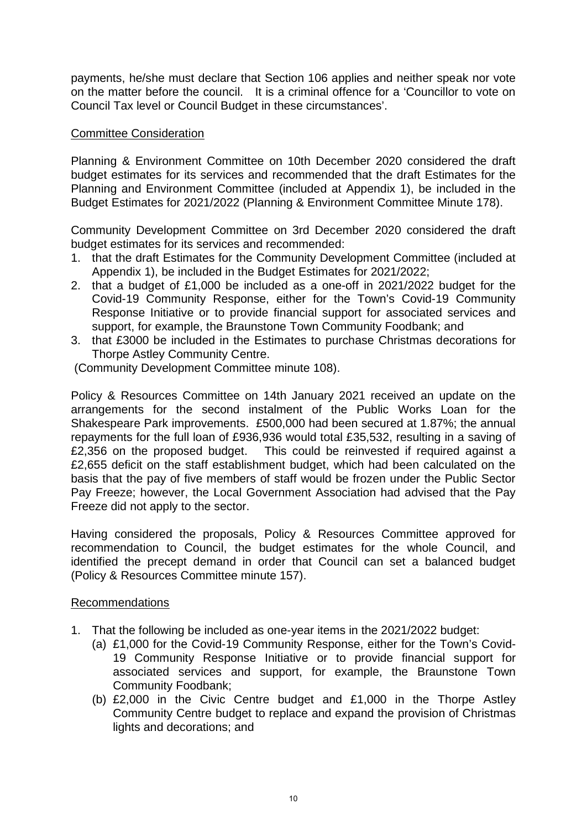payments, he/she must declare that Section 106 applies and neither speak nor vote on the matter before the council. It is a criminal offence for a 'Councillor to vote on Council Tax level or Council Budget in these circumstances'.

### Committee Consideration

Planning & Environment Committee on 10th December 2020 considered the draft budget estimates for its services and recommended that the draft Estimates for the Planning and Environment Committee (included at Appendix 1), be included in the Budget Estimates for 2021/2022 (Planning & Environment Committee Minute 178).

Community Development Committee on 3rd December 2020 considered the draft budget estimates for its services and recommended:

- 1. that the draft Estimates for the Community Development Committee (included at Appendix 1), be included in the Budget Estimates for 2021/2022;
- 2. that a budget of £1,000 be included as a one-off in 2021/2022 budget for the Covid-19 Community Response, either for the Town's Covid-19 Community Response Initiative or to provide financial support for associated services and support, for example, the Braunstone Town Community Foodbank; and
- 3. that £3000 be included in the Estimates to purchase Christmas decorations for Thorpe Astley Community Centre.

(Community Development Committee minute 108).

Policy & Resources Committee on 14th January 2021 received an update on the arrangements for the second instalment of the Public Works Loan for the Shakespeare Park improvements. £500,000 had been secured at 1.87%; the annual repayments for the full loan of £936,936 would total £35,532, resulting in a saving of £2,356 on the proposed budget. This could be reinvested if required against a £2,655 deficit on the staff establishment budget, which had been calculated on the basis that the pay of five members of staff would be frozen under the Public Sector Pay Freeze; however, the Local Government Association had advised that the Pay Freeze did not apply to the sector.

Having considered the proposals, Policy & Resources Committee approved for recommendation to Council, the budget estimates for the whole Council, and identified the precept demand in order that Council can set a balanced budget (Policy & Resources Committee minute 157).

### Recommendations

- 1. That the following be included as one-year items in the 2021/2022 budget:
	- (a) £1,000 for the Covid-19 Community Response, either for the Town's Covid-19 Community Response Initiative or to provide financial support for associated services and support, for example, the Braunstone Town Community Foodbank;
	- (b) £2,000 in the Civic Centre budget and £1,000 in the Thorpe Astley Community Centre budget to replace and expand the provision of Christmas lights and decorations; and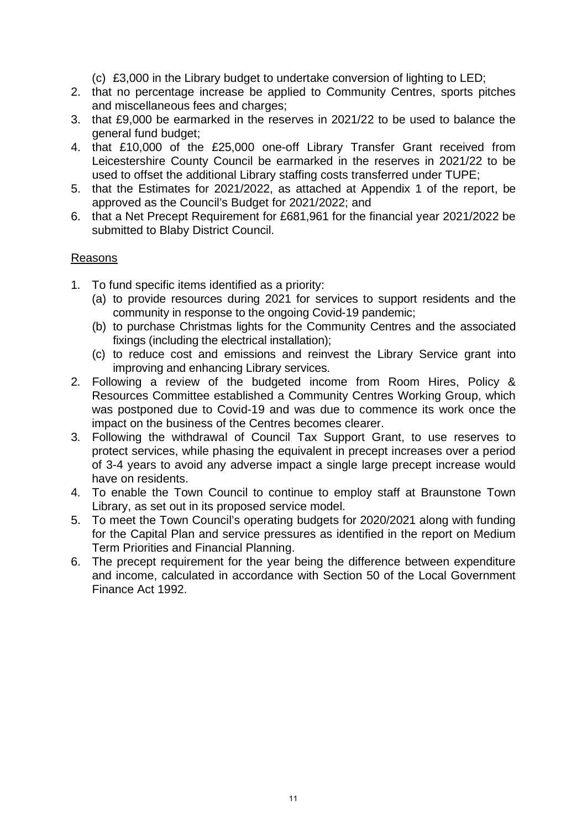- (c) £3,000 in the Library budget to undertake conversion of lighting to LED;
- 2. that no percentage increase be applied to Community Centres, sports pitches and miscellaneous fees and charges;
- 3. that £9,000 be earmarked in the reserves in 2021/22 to be used to balance the general fund budget;
- 4. that £10,000 of the £25,000 one-off Library Transfer Grant received from Leicestershire County Council be earmarked in the reserves in 2021/22 to be used to offset the additional Library staffing costs transferred under TUPE;
- 5. that the Estimates for 2021/2022, as attached at Appendix 1 of the report, be approved as the Council's Budget for 2021/2022; and
- 6. that a Net Precept Requirement for £681,961 for the financial year 2021/2022 be submitted to Blaby District Council.

## Reasons

- 1. To fund specific items identified as a priority:
	- (a) to provide resources during 2021 for services to support residents and the community in response to the ongoing Covid-19 pandemic;
	- (b) to purchase Christmas lights for the Community Centres and the associated fixings (including the electrical installation);
	- (c) to reduce cost and emissions and reinvest the Library Service grant into improving and enhancing Library services.
- 2. Following a review of the budgeted income from Room Hires, Policy & Resources Committee established a Community Centres Working Group, which was postponed due to Covid-19 and was due to commence its work once the impact on the business of the Centres becomes clearer.
- 3. Following the withdrawal of Council Tax Support Grant, to use reserves to protect services, while phasing the equivalent in precept increases over a period of 3-4 years to avoid any adverse impact a single large precept increase would have on residents.
- 4. To enable the Town Council to continue to employ staff at Braunstone Town Library, as set out in its proposed service model.
- 5. To meet the Town Council's operating budgets for 2020/2021 along with funding for the Capital Plan and service pressures as identified in the report on Medium Term Priorities and Financial Planning.
- 6. The precept requirement for the year being the difference between expenditure and income, calculated in accordance with Section 50 of the Local Government Finance Act 1992.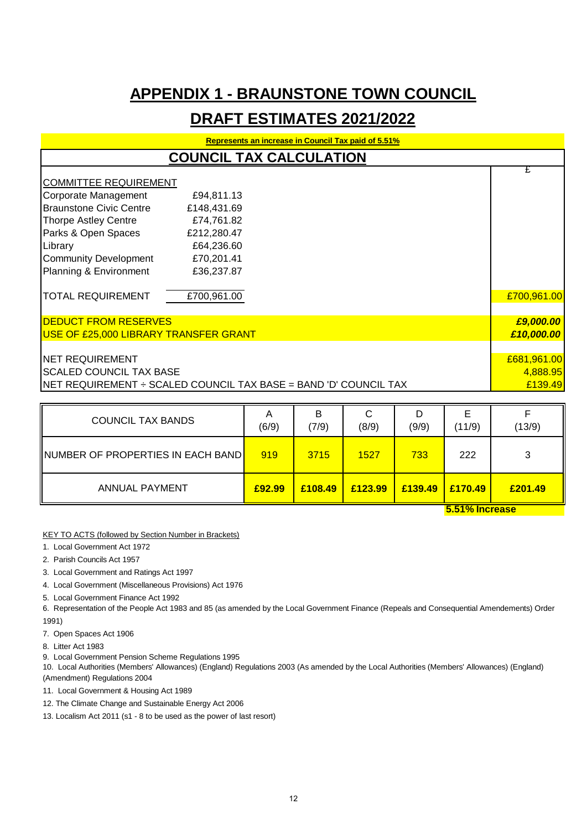## **APPENDIX 1 - BRAUNSTONE TOWN COUNCIL**

## **DRAFT ESTIMATES 2021/2022**

| Represents an increase in Council Tax paid of 5.51% |                                                                          |             |  |
|-----------------------------------------------------|--------------------------------------------------------------------------|-------------|--|
|                                                     | <b>COUNCIL TAX CALCULATION</b>                                           |             |  |
| COMMITTEE REQUIREMENT                               |                                                                          |             |  |
| Corporate Management                                |                                                                          |             |  |
|                                                     | £94,811.13                                                               |             |  |
| Braunstone Civic Centre                             | £148,431.69                                                              |             |  |
| Thorpe Astley Centre                                | £74,761.82                                                               |             |  |
| Parks & Open Spaces                                 | £212,280.47                                                              |             |  |
| Library                                             | £64,236.60                                                               |             |  |
| Community Development                               | £70,201.41                                                               |             |  |
| Planning & Environment                              | £36,237.87                                                               |             |  |
| <b>TOTAL REQUIREMENT</b>                            | £700,961.00                                                              | £700,961.00 |  |
| <b>DEDUCT FROM RESERVES</b>                         |                                                                          | £9,000.00   |  |
| USE OF £25,000 LIBRARY TRANSFER GRANT               |                                                                          | £10,000.00  |  |
|                                                     |                                                                          |             |  |
| <b>INET REQUIREMENT</b>                             |                                                                          | £681,961.00 |  |
| <b>ISCALED COUNCIL TAX BASE</b>                     |                                                                          | 4,888.95    |  |
|                                                     | <b>INET REQUIREMENT - SCALED COUNCIL TAX BASE = BAND 'D' COUNCIL TAX</b> | £139.49     |  |

| <b>COUNCIL TAX BANDS</b>                         | A<br>(6/9) | B<br>(7/9) | C<br>(8/9) | D<br>(9/9)            | Е<br>(11/9) | (13/9)  |
|--------------------------------------------------|------------|------------|------------|-----------------------|-------------|---------|
| NUMBER OF PROPERTIES IN EACH BAND <mark>I</mark> | 919        | 3715       | 1527       | 733                   | 222         | 3       |
| <b>ANNUAL PAYMENT</b>                            | £92.99     | £108.49    | £123.99    | £139.49               | E170.49     | £201.49 |
|                                                  |            |            |            | <b>5.51% Increase</b> |             |         |

KEY TO ACTS (followed by Section Number in Brackets)

1. Local Government Act 1972

2. Parish Councils Act 1957

3. Local Government and Ratings Act 1997

4. Local Government (Miscellaneous Provisions) Act 1976

5. Local Government Finance Act 1992

6. Representation of the People Act 1983 and 85 (as amended by the Local Government Finance (Repeals and Consequential Amendements) Order 1991)

7. Open Spaces Act 1906

8. Litter Act 1983

9. Local Government Pension Scheme Regulations 1995

10. Local Authorities (Members' Allowances) (England) Regulations 2003 (As amended by the Local Authorities (Members' Allowances) (England) (Amendment) Regulations 2004

11. Local Government & Housing Act 1989

12. The Climate Change and Sustainable Energy Act 2006

13. Localism Act 2011 (s1 - 8 to be used as the power of last resort)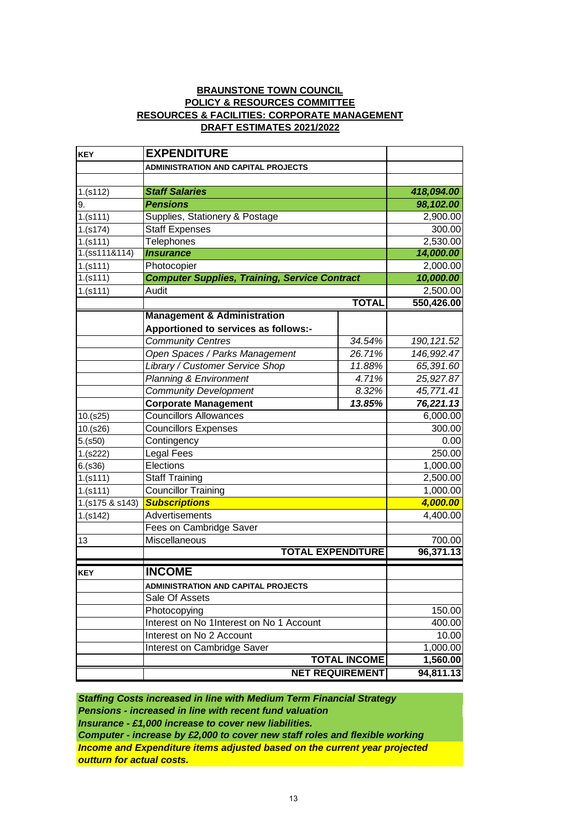#### **BRAUNSTONE TOWN COUNCIL DRAFT ESTIMATES 2021/2022 POLICY & RESOURCES COMMITTEE RESOURCES & FACILITIES: CORPORATE MANAGEMENT**

| <b>KEY</b>      | <b>EXPENDITURE</b>                                   |                        |             |
|-----------------|------------------------------------------------------|------------------------|-------------|
|                 | <b>ADMINISTRATION AND CAPITAL PROJECTS</b>           |                        |             |
|                 |                                                      |                        |             |
| 1.(s112)        | <b>Staff Salaries</b>                                | 418,094.00             |             |
| 9.              | <b>Pensions</b>                                      |                        | 98,102.00   |
| 1.(s111)        | Supplies, Stationery & Postage                       |                        | 2,900.00    |
| 1.(s174)        | Staff Expenses                                       |                        | 300.00      |
| 1.(s111)        | <b>Telephones</b>                                    |                        | 2,530.00    |
| 1.(ss111&114)   | <b>Insurance</b>                                     |                        | 14,000.00   |
| 1.(s111)        | Photocopier                                          |                        | 2,000.00    |
| 1.(s111)        | <b>Computer Supplies, Training, Service Contract</b> |                        | 10,000.00   |
| 1.(s111)        | Audit                                                |                        | 2,500.00    |
|                 |                                                      | <b>TOTAL</b>           | 550,426.00  |
|                 | <b>Management &amp; Administration</b>               |                        |             |
|                 | Apportioned to services as follows:-                 |                        |             |
|                 | <b>Community Centres</b>                             | 34.54%                 | 190, 121.52 |
|                 | Open Spaces / Parks Management                       | 26.71%                 | 146,992.47  |
|                 | Library / Customer Service Shop                      | 11.88%                 | 65,391.60   |
|                 | <b>Planning &amp; Environment</b>                    | 4.71%                  | 25,927.87   |
|                 | <b>Community Development</b>                         | 8.32%                  | 45,771.41   |
|                 | <b>Corporate Management</b>                          | 13.85%                 | 76,221.13   |
| 10.(s25)        | <b>Councillors Allowances</b>                        |                        | 6,000.00    |
| 10.(s26)        | <b>Councillors Expenses</b>                          |                        | 300.00      |
| 5.(s50)         | Contingency                                          |                        | 0.00        |
| 1.(s222)        | Legal Fees                                           |                        | 250.00      |
| 6.(s36)         | Elections                                            |                        | 1,000.00    |
| 1.(s111)        | <b>Staff Training</b>                                |                        | 2,500.00    |
| 1.(s111)        | <b>Councillor Training</b>                           |                        | 1,000.00    |
| 1.(s175 & s143) | <b>Subscriptions</b>                                 |                        | 4,000.00    |
| 1.(s142)        | Advertisements                                       |                        | 4,400.00    |
|                 | Fees on Cambridge Saver                              |                        |             |
| 13              | Miscellaneous                                        |                        | 700.00      |
|                 | <b>TOTAL EXPENDITURE</b>                             |                        | 96,371.13   |
| <b>KEY</b>      | <b>INCOME</b>                                        |                        |             |
|                 | ADMINISTRATION AND CAPITAL PROJECTS                  |                        |             |
|                 | Sale Of Assets                                       |                        |             |
|                 | Photocopying                                         |                        | 150.00      |
|                 | Interest on No 1Interest on No 1 Account             |                        | 400.00      |
|                 | Interest on No 2 Account                             |                        | 10.00       |
|                 | Interest on Cambridge Saver                          |                        | 1,000.00    |
|                 |                                                      | <b>TOTAL INCOME</b>    | 1,560.00    |
|                 |                                                      | <b>NET REQUIREMENT</b> | 94,811.13   |
|                 |                                                      |                        |             |

*Staffing Costs increased in line with Medium Term Financial Strategy Income and Expenditure items adjusted based on the current year projected outturn for actual costs. Computer - increase by £2,000 to cover new staff roles and flexible working Insurance - £1,000 increase to cover new liabilities. Pensions - increased in line with recent fund valuation*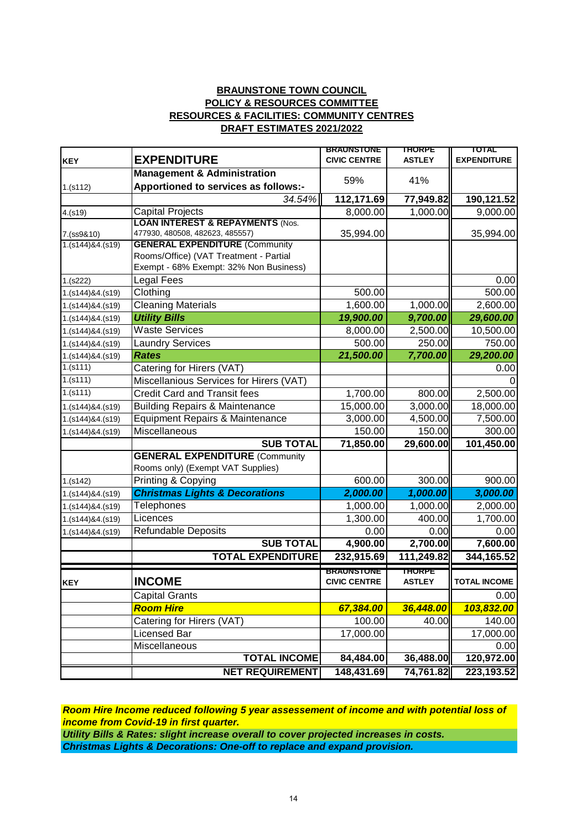#### **BRAUNSTONE TOWN COUNCIL POLICY & RESOURCES COMMITTEE RESOURCES & FACILITIES: COMMUNITY CENTRES DRAFT ESTIMATES 2021/2022**

|                                |                                                                          | <b>BRAUNSTONE</b>   | <b>THORPE</b> | TOTAL               |
|--------------------------------|--------------------------------------------------------------------------|---------------------|---------------|---------------------|
| <b>KEY</b>                     | <b>EXPENDITURE</b>                                                       | <b>CIVIC CENTRE</b> | <b>ASTLEY</b> | <b>EXPENDITURE</b>  |
|                                | <b>Management &amp; Administration</b>                                   | 59%                 | 41%           |                     |
| 1.(s112)                       | Apportioned to services as follows:-                                     |                     |               |                     |
|                                | 34.54%                                                                   | 112,171.69          | 77,949.82     | 190,121.52          |
| 4.(s19)                        | <b>Capital Projects</b>                                                  | 8,000.00            | 1,000.00      | 9,000.00            |
|                                | <b>LOAN INTEREST &amp; REPAYMENTS (Nos.</b>                              |                     |               |                     |
| 7.(ss9&10)<br>1.(s144)84.(s19) | 477930, 480508, 482623, 485557)<br><b>GENERAL EXPENDITURE (Community</b> | 35,994.00           |               | 35,994.00           |
|                                | Rooms/Office) (VAT Treatment - Partial                                   |                     |               |                     |
|                                | Exempt - 68% Exempt: 32% Non Business)                                   |                     |               |                     |
| 1.(s222)                       | <b>Legal Fees</b>                                                        |                     |               | 0.00                |
| 1.(s144)&4.(s19)               | Clothing                                                                 | 500.00              |               | 500.00              |
| 1.(s144)&4.(s19)               | <b>Cleaning Materials</b>                                                | 1,600.00            | 1,000.00      | 2,600.00            |
| 1.(s144)&4.(s19)               | <b>Utility Bills</b>                                                     | 19,900.00           | 9,700.00      | 29,600.00           |
| 1.(s144)&4.(s19)               | <b>Waste Services</b>                                                    | 8,000.00            | 2,500.00      | 10,500.00           |
| 1.(s144)&4.(s19)               | <b>Laundry Services</b>                                                  | 500.00              | 250.00        | 750.00              |
| 1.(s144)&4.(s19)               | <b>Rates</b>                                                             | 21,500.00           | 7,700.00      | 29,200.00           |
| 1.(s111)                       | Catering for Hirers (VAT)                                                |                     |               | 0.00                |
| 1.(s111)                       | Miscellanious Services for Hirers (VAT)                                  |                     |               |                     |
| 1.(s111)                       | <b>Credit Card and Transit fees</b>                                      | 1,700.00            | 800.00        | 2,500.00            |
| 1.(s144)&4.(s19)               | <b>Building Repairs &amp; Maintenance</b>                                | 15,000.00           | 3,000.00      | 18,000.00           |
| 1.(s144)&4.(s19)               | Equipment Repairs & Maintenance                                          | 3,000.00            | 4,500.00      | 7,500.00            |
| 1.(s144)&4.(s19)               | Miscellaneous                                                            | 150.00              | 150.00        | 300.00              |
|                                | <b>SUB TOTAL</b>                                                         | 71,850.00           | 29,600.00     | 101,450.00          |
|                                | <b>GENERAL EXPENDITURE (Community</b>                                    |                     |               |                     |
|                                | Rooms only) (Exempt VAT Supplies)                                        |                     |               |                     |
| 1.(s142)                       | Printing & Copying                                                       | 600.00              | 300.00        | 900.00              |
| 1.(s144)&4.(s19)               | <b>Christmas Lights &amp; Decorations</b>                                | 2,000.00            | 1,000.00      | 3,000.00            |
| 1.(s144)&4.(s19)               | Telephones                                                               | 1,000.00            | 1,000.00      | 2,000.00            |
| 1.(s144)&4.(s19)               | Licences                                                                 | 1,300.00            | 400.00        | 1,700.00            |
| 1.(s144)&4.(s19)               | <b>Refundable Deposits</b>                                               | 0.00                | 0.00          | 0.00                |
|                                | <b>SUB TOTAL</b>                                                         | 4,900.00            | 2,700.00      | 7,600.00            |
|                                | <b>TOTAL EXPENDITURE</b>                                                 | 232,915.69          | 111,249.82    | 344,165.52          |
|                                |                                                                          | <b>BRAUNSTUNE</b>   | <b>THORPE</b> |                     |
| <b>KEY</b>                     | <b>INCOME</b>                                                            | <b>CIVIC CENTRE</b> | <b>ASTLEY</b> | <b>TOTAL INCOME</b> |
|                                | <b>Capital Grants</b>                                                    |                     |               | 0.00                |
|                                | <b>Room Hire</b>                                                         | 67,384.00           | 36,448.00     | 103,832.00          |
|                                | Catering for Hirers (VAT)                                                | 100.00              | 40.00         | 140.00              |
|                                | Licensed Bar                                                             | 17,000.00           |               | 17,000.00           |
|                                | Miscellaneous                                                            |                     |               | 0.00                |
|                                | <b>TOTAL INCOME</b>                                                      | 84,484.00           | 36,488.00     | 120,972.00          |
|                                | <b>NET REQUIREMENT</b>                                                   | 148,431.69          | 74,761.82     | 223,193.52          |

*Room Hire Income reduced following 5 year assessement of income and with potential loss of income from Covid-19 in first quarter.*

*Utility Bills & Rates: slight increase overall to cover projected increases in costs. Christmas Lights & Decorations: One-off to replace and expand provision.*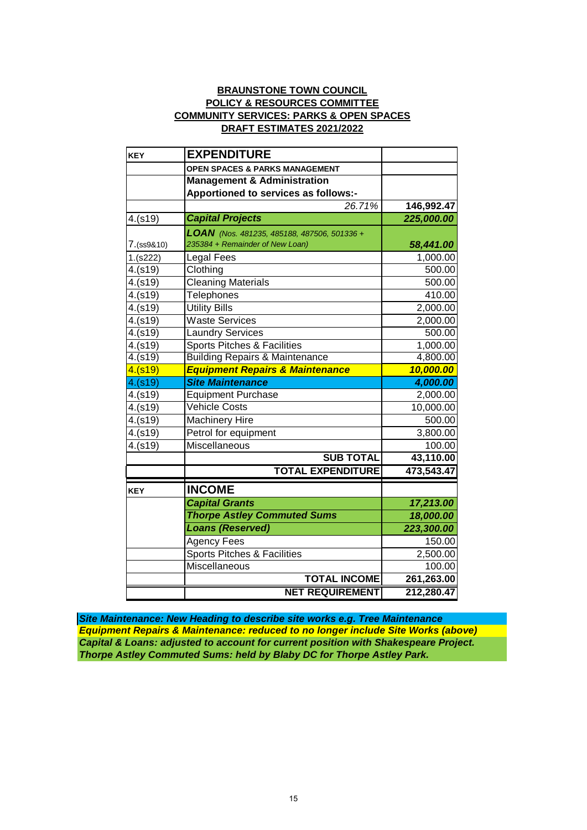#### **BRAUNSTONE TOWN COUNCIL POLICY & RESOURCES COMMITTEE COMMUNITY SERVICES: PARKS & OPEN SPACES DRAFT ESTIMATES 2021/2022**

| <b>KEY</b> | <b>EXPENDITURE</b>                                                             |            |
|------------|--------------------------------------------------------------------------------|------------|
|            | OPEN SPACES & PARKS MANAGEMENT                                                 |            |
|            | <b>Management &amp; Administration</b>                                         |            |
|            | Apportioned to services as follows:-                                           |            |
|            | 26.71%                                                                         | 146,992.47 |
| 4.(s19)    | <b>Capital Projects</b>                                                        | 225,000.00 |
| 7.(ss9&10) | LOAN (Nos. 481235, 485188, 487506, 501336 +<br>235384 + Remainder of New Loan) | 58,441.00  |
| 1.(s222)   | Legal Fees                                                                     | 1,000.00   |
| 4.(s19)    | Clothing                                                                       | 500.00     |
| 4.(s19)    | Cleaning Materials                                                             | 500.00     |
| 4.(s19)    | <b>Telephones</b>                                                              | 410.00     |
| 4.(s19)    | <b>Utility Bills</b>                                                           | 2,000.00   |
| 4.(s19)    | <b>Waste Services</b>                                                          | 2,000.00   |
| 4.(s19)    | <b>Laundry Services</b>                                                        | 500.00     |
| 4.(s19)    | <b>Sports Pitches &amp; Facilities</b>                                         | 1,000.00   |
| 4.(s19)    | <b>Building Repairs &amp; Maintenance</b>                                      | 4,800.00   |
| 4.(s19)    | <b>Equipment Repairs &amp; Maintenance</b>                                     | 10,000.00  |
| 4.(s19)    | <b>Site Maintenance</b>                                                        | 4,000.00   |
| 4.(s19)    | <b>Equipment Purchase</b>                                                      | 2,000.00   |
| 4.(s19)    | <b>Vehicle Costs</b>                                                           | 10,000.00  |
| 4.(s19)    | <b>Machinery Hire</b>                                                          | 500.00     |
| 4.(s19)    | Petrol for equipment                                                           | 3,800.00   |
| 4.(s19)    | <b>Miscellaneous</b>                                                           | 100.00     |
|            | <b>SUB TOTAL</b>                                                               | 43,110.00  |
|            | <b>TOTAL EXPENDITURE</b>                                                       | 473,543.47 |
| <b>KEY</b> | <b>INCOME</b>                                                                  |            |
|            | <b>Capital Grants</b>                                                          | 17,213.00  |
|            | <b>Thorpe Astley Commuted Sums</b>                                             | 18,000.00  |
|            | <b>Loans (Reserved)</b>                                                        | 223,300.00 |
|            | <b>Agency Fees</b>                                                             | 150.00     |
|            | <b>Sports Pitches &amp; Facilities</b>                                         | 2,500.00   |
|            | <b>Miscellaneous</b>                                                           | 100.00     |
|            | <b>TOTAL INCOME</b>                                                            | 261,263.00 |
|            | <b>NET REQUIREMENT</b>                                                         | 212,280.47 |

*Equipment Repairs & Maintenance: reduced to no longer include Site Works (above) Capital & Loans: adjusted to account for current position with Shakespeare Project. Thorpe Astley Commuted Sums: held by Blaby DC for Thorpe Astley Park. Site Maintenance: New Heading to describe site works e.g. Tree Maintenance*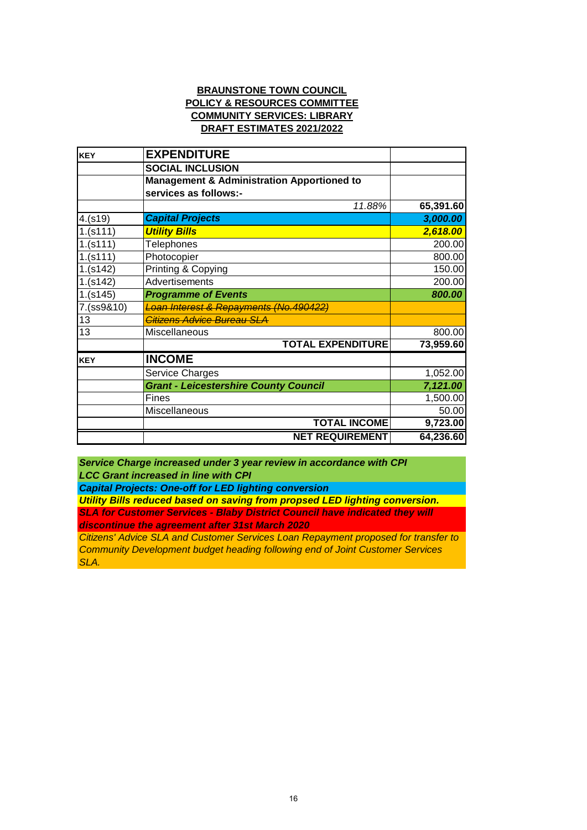#### **BRAUNSTONE TOWN COUNCIL POLICY & RESOURCES COMMITTEE COMMUNITY SERVICES: LIBRARY DRAFT ESTIMATES 2021/2022**

| <b>KEY</b> | <b>EXPENDITURE</b>                                    |           |
|------------|-------------------------------------------------------|-----------|
|            | <b>SOCIAL INCLUSION</b>                               |           |
|            | <b>Management &amp; Administration Apportioned to</b> |           |
|            | services as follows:-                                 |           |
|            | 11.88%                                                | 65,391.60 |
| 4.(s19)    | <b>Capital Projects</b>                               | 3,000.00  |
| 1.(s111)   | <b>Utility Bills</b>                                  | 2,618.00  |
| 1.(s111)   | <b>Telephones</b>                                     | 200.00    |
| 1.(s111)   | Photocopier                                           | 800.00    |
| 1.(s142)   | Printing & Copying                                    | 150.00    |
| 1.(s142)   | Advertisements                                        | 200.00    |
| 1.(s145)   | <b>Programme of Events</b>                            | 800.00    |
| 7.(ss9&10) | Loan Interest & Repayments (No.490422)                |           |
| 13         | Citizens Advice Bureau SLA                            |           |
| 13         | Miscellaneous                                         | 800.00    |
|            | <b>TOTAL EXPENDITURE</b>                              | 73,959.60 |
| <b>KEY</b> | <b>INCOME</b>                                         |           |
|            | Service Charges                                       | 1,052.00  |
|            | <b>Grant - Leicestershire County Council</b>          | 7,121.00  |
|            | Fines                                                 | 1,500.00  |
|            | Miscellaneous                                         | 50.00     |
|            | <b>TOTAL INCOME</b>                                   | 9,723.00  |
|            | <b>NET REQUIREMENT</b>                                | 64,236.60 |

*LCC Grant increased in line with CPI Service Charge increased under 3 year review in accordance with CPI*

*Capital Projects: One-off for LED lighting conversion*

*Utility Bills reduced based on saving from propsed LED lighting conversion. SLA for Customer Services - Blaby District Council have indicated they will discontinue the agreement after 31st March 2020*

*Citizens' Advice SLA and Customer Services Loan Repayment proposed for transfer to Community Development budget heading following end of Joint Customer Services SLA.*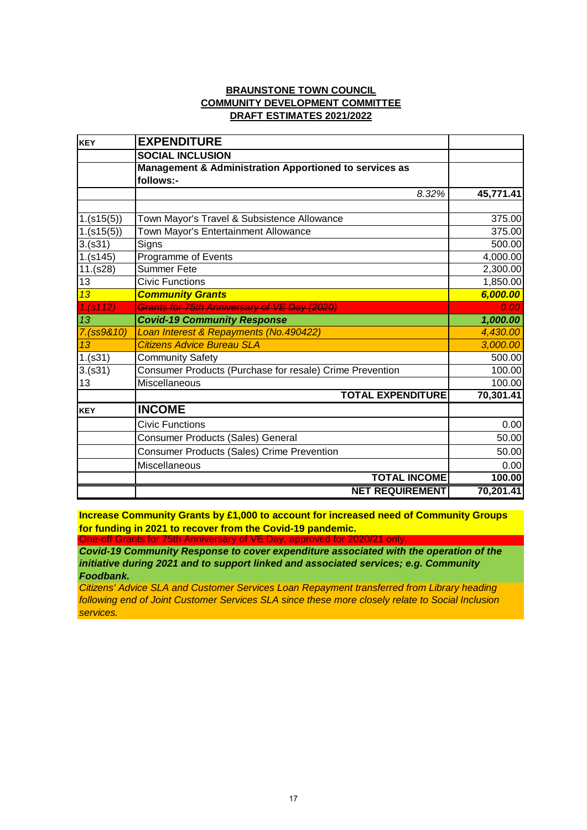#### **BRAUNSTONE TOWN COUNCIL COMMUNITY DEVELOPMENT COMMITTEE DRAFT ESTIMATES 2021/2022**

| <b>KEY</b> | <b>EXPENDITURE</b>                                       |           |
|------------|----------------------------------------------------------|-----------|
|            | <b>SOCIAL INCLUSION</b>                                  |           |
|            | Management & Administration Apportioned to services as   |           |
|            | follows:-                                                |           |
|            | 8.32%                                                    | 45,771.41 |
|            |                                                          |           |
| 1.(s15(5)) | Town Mayor's Travel & Subsistence Allowance              | 375.00    |
| 1.(s15(5)) | Town Mayor's Entertainment Allowance                     | 375.00    |
| 3.(s31)    | Signs                                                    | 500.00    |
| 1.(s145)   | Programme of Events                                      | 4,000.00  |
| 11.(s28)   | <b>Summer Fete</b>                                       | 2,300.00  |
| 13         | <b>Civic Functions</b>                                   | 1,850.00  |
| 13         | <b>Community Grants</b>                                  | 6,000.00  |
| 1.(s112)   | Grants for 75th Anniversary of VE Day (2020)             | 0.00      |
| 13         | <b>Covid-19 Community Response</b>                       | 1,000.00  |
| 7.(ss9&10) | Loan Interest & Repayments (No.490422)                   | 4,430.00  |
| 13         | <b>Citizens Advice Bureau SLA</b>                        | 3,000.00  |
| 1.(s31)    | <b>Community Safety</b>                                  | 500.00    |
| 3.(s31)    | Consumer Products (Purchase for resale) Crime Prevention | 100.00    |
| 13         | Miscellaneous                                            | 100.00    |
|            | <b>TOTAL EXPENDITURE</b>                                 | 70,301.41 |
| <b>KEY</b> | <b>INCOME</b>                                            |           |
|            | <b>Civic Functions</b>                                   | 0.00      |
|            | <b>Consumer Products (Sales) General</b>                 | 50.00     |
|            | <b>Consumer Products (Sales) Crime Prevention</b>        | 50.00     |
|            | <b>Miscellaneous</b>                                     | 0.00      |
|            | <b>TOTAL INCOME</b>                                      | 100.00    |
|            | <b>NET REQUIREMENT</b>                                   | 70,201.41 |

**Increase Community Grants by £1,000 to account for increased need of Community Groups for funding in 2021 to recover from the Covid-19 pandemic.**

One-off Grants for 75th Anniversary of VE Day, approved for 2020/21 only. *Covid-19 Community Response to cover expenditure associated with the operation of the initiative during 2021 and to support linked and associated services; e.g. Community* 

*Foodbank. Citizens' Advice SLA and Customer Services Loan Repayment transferred from Library heading following end of Joint Customer Services SLA since these more closely relate to Social Inclusion services.*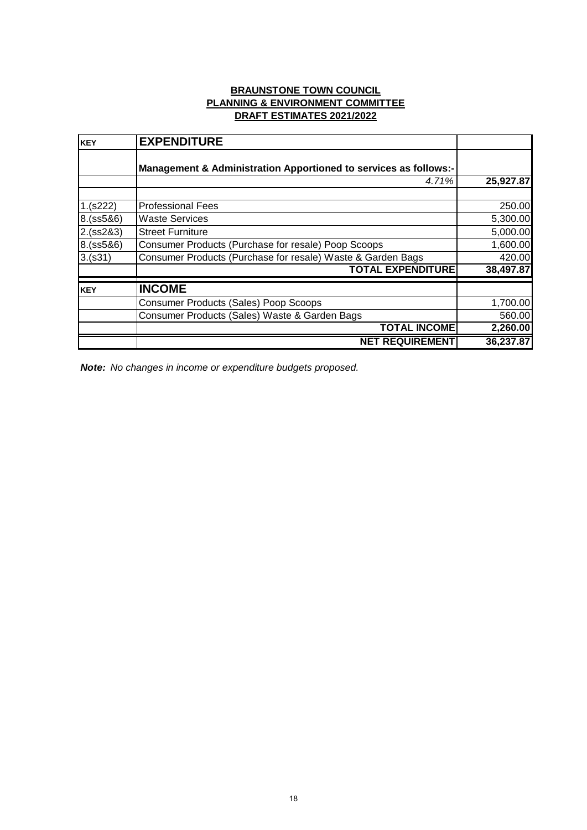#### **BRAUNSTONE TOWN COUNCIL PLANNING & ENVIRONMENT COMMITTEE DRAFT ESTIMATES 2021/2022**

| <b>KEY</b> | <b>EXPENDITURE</b>                                               |           |
|------------|------------------------------------------------------------------|-----------|
|            | Management & Administration Apportioned to services as follows:- |           |
|            | 4.71%                                                            | 25,927.87 |
| 1.(s222)   | <b>Professional Fees</b>                                         | 250.00    |
| 8.(ss5&6)  | <b>Waste Services</b>                                            | 5,300.00  |
| 2.(ss2&3)  | <b>Street Furniture</b>                                          | 5,000.00  |
| 8.(ss5&6)  | Consumer Products (Purchase for resale) Poop Scoops              | 1,600.00  |
| 3.(s31)    | Consumer Products (Purchase for resale) Waste & Garden Bags      | 420.00    |
|            | <b>TOTAL EXPENDITURE</b>                                         | 38,497.87 |
| <b>KEY</b> | <b>INCOME</b>                                                    |           |
|            | <b>Consumer Products (Sales) Poop Scoops</b>                     | 1,700.00  |
|            | Consumer Products (Sales) Waste & Garden Bags                    | 560.00    |
|            | <b>TOTAL INCOME</b>                                              | 2,260.00  |
|            | <b>NET REQUIREMENT</b>                                           | 36,237.87 |

*Note: No changes in income or expenditure budgets proposed.*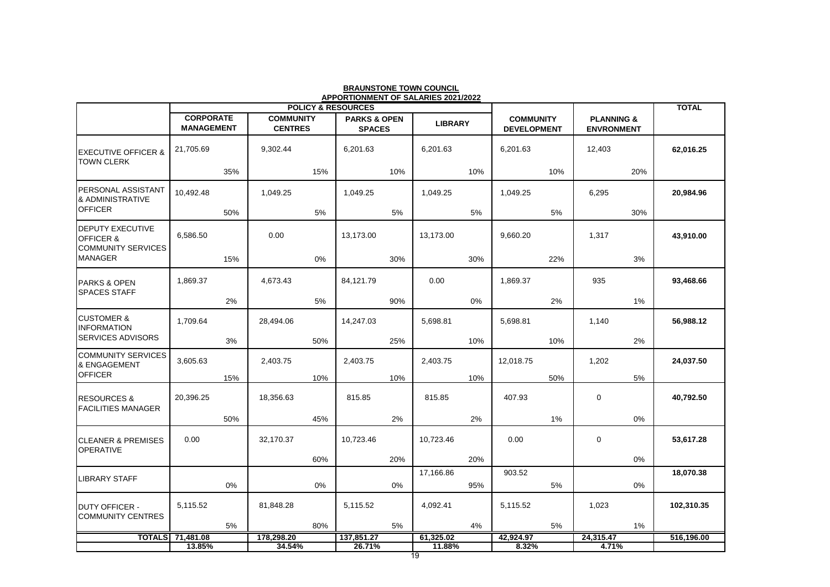| <b>APPORTIONMENT OF SALARIES 2021/2022</b><br><b>POLICY &amp; RESOURCES</b>  |                                       |     |                                    |     | <b>TOTAL</b>                             |     |                |     |                                        |     |                                            |     |            |
|------------------------------------------------------------------------------|---------------------------------------|-----|------------------------------------|-----|------------------------------------------|-----|----------------|-----|----------------------------------------|-----|--------------------------------------------|-----|------------|
|                                                                              | <b>CORPORATE</b><br><b>MANAGEMENT</b> |     | <b>COMMUNITY</b><br><b>CENTRES</b> |     | <b>PARKS &amp; OPEN</b><br><b>SPACES</b> |     | <b>LIBRARY</b> |     | <b>COMMUNITY</b><br><b>DEVELOPMENT</b> |     | <b>PLANNING &amp;</b><br><b>ENVRONMENT</b> |     |            |
| <b>EXECUTIVE OFFICER &amp;</b><br><b>TOWN CLERK</b>                          | 21,705.69                             |     | 9,302.44                           |     | 6,201.63                                 |     | 6,201.63       |     | 6,201.63                               |     | 12,403                                     |     | 62,016.25  |
|                                                                              |                                       | 35% |                                    | 15% |                                          | 10% |                | 10% |                                        | 10% |                                            | 20% |            |
| PERSONAL ASSISTANT<br>& ADMINISTRATIVE<br><b>OFFICER</b>                     | 10,492.48                             |     | 1,049.25                           |     | 1,049.25                                 |     | 1,049.25       |     | 1,049.25                               |     | 6,295                                      |     | 20,984.96  |
|                                                                              |                                       | 50% |                                    | 5%  |                                          | 5%  |                | 5%  |                                        | 5%  |                                            | 30% |            |
| <b>DEPUTY EXECUTIVE</b><br><b>OFFICER &amp;</b><br><b>COMMUNITY SERVICES</b> | 6,586.50                              |     | 0.00                               |     | 13,173.00                                |     | 13,173.00      |     | 9,660.20                               |     | 1,317                                      |     | 43,910.00  |
| <b>MANAGER</b>                                                               |                                       | 15% |                                    | 0%  |                                          | 30% |                | 30% |                                        | 22% |                                            | 3%  |            |
| <b>PARKS &amp; OPEN</b><br><b>SPACES STAFF</b>                               | 1,869.37                              |     | 4,673.43                           |     | 84,121.79                                |     | 0.00           |     | 1,869.37                               |     | 935                                        |     | 93,468.66  |
|                                                                              |                                       | 2%  |                                    | 5%  |                                          | 90% |                | 0%  |                                        | 2%  |                                            | 1%  |            |
| <b>CUSTOMER &amp;</b><br><b>INFORMATION</b>                                  | 1,709.64                              |     | 28,494.06                          |     | 14,247.03                                |     | 5,698.81       |     | 5,698.81                               |     | 1,140                                      |     | 56,988.12  |
| <b>SERVICES ADVISORS</b>                                                     |                                       | 3%  |                                    | 50% |                                          | 25% |                | 10% |                                        | 10% |                                            | 2%  |            |
| <b>COMMUNITY SERVICES</b><br>& ENGAGEMENT                                    | 3,605.63                              |     | 2,403.75                           |     | 2,403.75                                 |     | 2,403.75       |     | 12,018.75                              |     | 1,202                                      |     | 24,037.50  |
| <b>OFFICER</b>                                                               |                                       | 15% |                                    | 10% |                                          | 10% |                | 10% |                                        | 50% |                                            | 5%  |            |
| <b>RESOURCES &amp;</b><br><b>FACILITIES MANAGER</b>                          | 20,396.25                             |     | 18,356.63                          |     | 815.85                                   |     | 815.85         |     | 407.93                                 |     | $\mathbf 0$                                |     | 40,792.50  |
|                                                                              |                                       | 50% |                                    | 45% |                                          | 2%  |                | 2%  |                                        | 1%  |                                            | 0%  |            |
| <b>CLEANER &amp; PREMISES</b><br><b>OPERATIVE</b>                            | 0.00                                  |     | 32,170.37                          |     | 10,723.46                                |     | 10,723.46      |     | 0.00                                   |     | 0                                          |     | 53,617.28  |
|                                                                              |                                       |     |                                    | 60% |                                          | 20% |                | 20% |                                        |     |                                            | 0%  |            |
| LIBRARY STAFF                                                                |                                       |     |                                    |     |                                          |     | 17,166.86      |     | 903.52                                 |     |                                            |     | 18,070.38  |
|                                                                              |                                       | 0%  |                                    | 0%  |                                          | 0%  |                | 95% |                                        | 5%  |                                            | 0%  |            |
| <b>DUTY OFFICER -</b><br><b>COMMUNITY CENTRES</b>                            | 5,115.52                              |     | 81,848.28                          |     | 5,115.52                                 |     | 4,092.41       |     | 5,115.52                               |     | 1,023                                      |     | 102,310.35 |
|                                                                              | <b>TOTALS</b> 71,481.08               | 5%  | 178,298.20                         | 80% | 137,851.27                               | 5%  | 61,325.02      | 4%  | 42,924.97                              | 5%  | 24,315.47                                  | 1%  |            |
|                                                                              | 13.85%                                |     | 34.54%                             |     | 26.71%                                   |     | 11.88%         |     | 8.32%                                  |     | 4.71%                                      |     | 516,196.00 |

#### **BRAUNSTONE TOWN COUNCIL**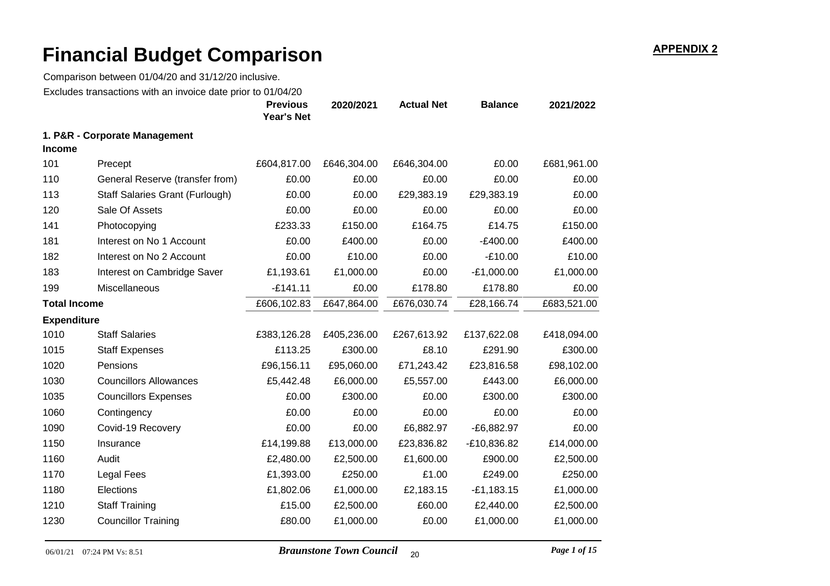|                      | Excludes transactions with an invoice date prior to 01/04/20 | <b>Previous</b><br><b>Year's Net</b> | 2020/2021   | <b>Actual Net</b> | <b>Balance</b> | 2021/2022   |
|----------------------|--------------------------------------------------------------|--------------------------------------|-------------|-------------------|----------------|-------------|
|                      | 1. P&R - Corporate Management                                |                                      |             |                   |                |             |
| <b>Income</b><br>101 | Precept                                                      | £604,817.00                          | £646,304.00 | £646,304.00       | £0.00          | £681,961.00 |
| 110                  | General Reserve (transfer from)                              | £0.00                                | £0.00       | £0.00             | £0.00          | £0.00       |
|                      |                                                              | £0.00                                |             |                   |                | £0.00       |
| 113                  | <b>Staff Salaries Grant (Furlough)</b>                       |                                      | £0.00       | £29,383.19        | £29,383.19     |             |
| 120                  | Sale Of Assets                                               | £0.00                                | £0.00       | £0.00             | £0.00          | £0.00       |
| 141                  | Photocopying                                                 | £233.33                              | £150.00     | £164.75           | £14.75         | £150.00     |
| 181                  | Interest on No 1 Account                                     | £0.00                                | £400.00     | £0.00             | $-E400.00$     | £400.00     |
| 182                  | Interest on No 2 Account                                     | £0.00                                | £10.00      | £0.00             | $-£10.00$      | £10.00      |
| 183                  | Interest on Cambridge Saver                                  | £1,193.61                            | £1,000.00   | £0.00             | $-E1,000.00$   | £1,000.00   |
| 199                  | Miscellaneous                                                | $-£141.11$                           | £0.00       | £178.80           | £178.80        | £0.00       |
| <b>Total Income</b>  |                                                              | £606,102.83                          | £647,864.00 | £676,030.74       | £28,166.74     | £683,521.00 |
| <b>Expenditure</b>   |                                                              |                                      |             |                   |                |             |
| 1010                 | <b>Staff Salaries</b>                                        | £383,126.28                          | £405,236.00 | £267,613.92       | £137,622.08    | £418,094.00 |
| 1015                 | <b>Staff Expenses</b>                                        | £113.25                              | £300.00     | £8.10             | £291.90        | £300.00     |
| 1020                 | Pensions                                                     | £96,156.11                           | £95,060.00  | £71,243.42        | £23,816.58     | £98,102.00  |
| 1030                 | <b>Councillors Allowances</b>                                | £5,442.48                            | £6,000.00   | £5,557.00         | £443.00        | £6,000.00   |
| 1035                 | <b>Councillors Expenses</b>                                  | £0.00                                | £300.00     | £0.00             | £300.00        | £300.00     |
| 1060                 | Contingency                                                  | £0.00                                | £0.00       | £0.00             | £0.00          | £0.00       |
| 1090                 | Covid-19 Recovery                                            | £0.00                                | £0.00       | £6,882.97         | $-E6,882.97$   | £0.00       |
| 1150                 | Insurance                                                    | £14,199.88                           | £13,000.00  | £23,836.82        | $-E10,836.82$  | £14,000.00  |
| 1160                 | Audit                                                        | £2,480.00                            | £2,500.00   | £1,600.00         | £900.00        | £2,500.00   |
| 1170                 | <b>Legal Fees</b>                                            | £1,393.00                            | £250.00     | £1.00             | £249.00        | £250.00     |
| 1180                 | Elections                                                    | £1,802.06                            | £1,000.00   | £2,183.15         | $-E1,183.15$   | £1,000.00   |
| 1210                 | <b>Staff Training</b>                                        | £15.00                               | £2,500.00   | £60.00            | £2,440.00      | £2,500.00   |
| 1230                 | <b>Councillor Training</b>                                   | £80.00                               | £1,000.00   | £0.00             | £1,000.00      | £1,000.00   |
|                      |                                                              |                                      |             |                   |                |             |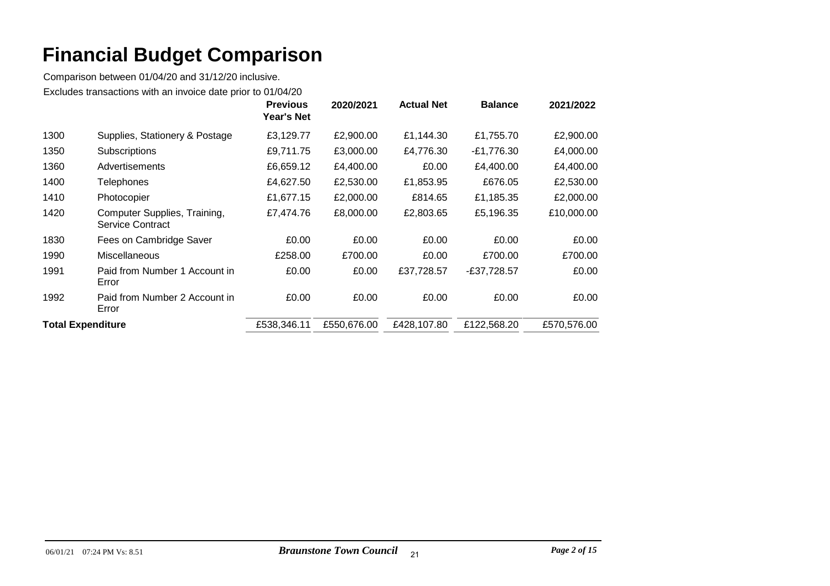|                          |                                                         | <b>Previous</b><br>Year's Net | 2020/2021   | <b>Actual Net</b> | <b>Balance</b> | 2021/2022   |
|--------------------------|---------------------------------------------------------|-------------------------------|-------------|-------------------|----------------|-------------|
| 1300                     | Supplies, Stationery & Postage                          | £3,129.77                     | £2,900.00   | £1,144.30         | £1,755.70      | £2,900.00   |
| 1350                     | Subscriptions                                           | £9,711.75                     | £3,000.00   | £4,776.30         | $-E1,776.30$   | £4,000.00   |
| 1360                     | Advertisements                                          | £6,659.12                     | £4,400.00   | £0.00             | £4,400.00      | £4,400.00   |
| 1400                     | Telephones                                              | £4,627.50                     | £2,530.00   | £1,853.95         | £676.05        | £2,530.00   |
| 1410                     | Photocopier                                             | £1,677.15                     | £2,000.00   | £814.65           | £1,185.35      | £2,000.00   |
| 1420                     | Computer Supplies, Training,<br><b>Service Contract</b> | £7,474.76                     | £8,000.00   | £2,803.65         | £5,196.35      | £10,000.00  |
| 1830                     | Fees on Cambridge Saver                                 | £0.00                         | £0.00       | £0.00             | £0.00          | £0.00       |
| 1990                     | Miscellaneous                                           | £258.00                       | £700.00     | £0.00             | £700.00        | £700.00     |
| 1991                     | Paid from Number 1 Account in<br>Error                  | £0.00                         | £0.00       | £37,728.57        | -£37,728.57    | £0.00       |
| 1992                     | Paid from Number 2 Account in<br>Error                  | £0.00                         | £0.00       | £0.00             | £0.00          | £0.00       |
| <b>Total Expenditure</b> |                                                         | £538,346.11                   | £550,676.00 | £428,107.80       | £122,568.20    | £570,576.00 |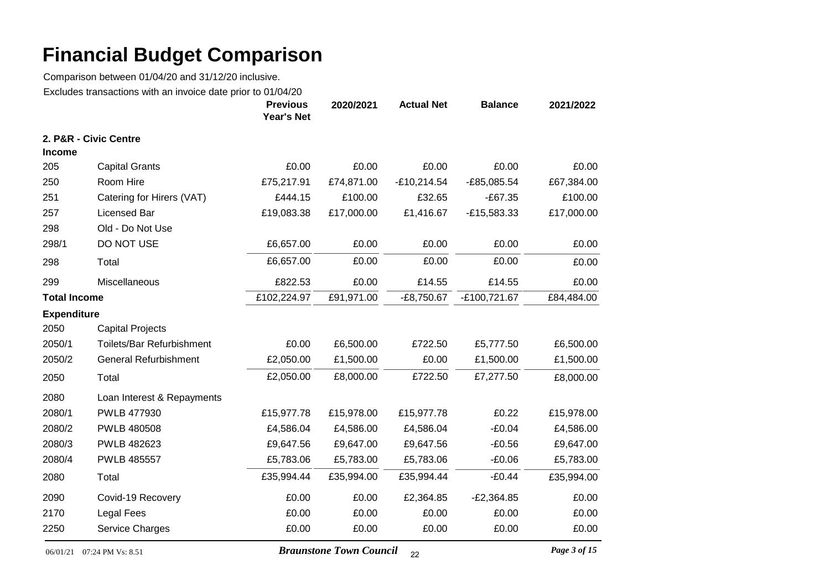Comparison between 01/04/20 and 31/12/20 inclusive. Excludes transactions with an invoice date prior to 01/04/20

|                     | LAURUCU transactions with an involve date phon | <b>Previous</b><br><b>Year's Net</b> | 2020/2021  | <b>Actual Net</b> | <b>Balance</b> | 2021/2022  |
|---------------------|------------------------------------------------|--------------------------------------|------------|-------------------|----------------|------------|
|                     | 2. P&R - Civic Centre                          |                                      |            |                   |                |            |
| <b>Income</b>       |                                                |                                      |            |                   |                |            |
| 205                 | <b>Capital Grants</b>                          | £0.00                                | £0.00      | £0.00             | £0.00          | £0.00      |
| 250                 | Room Hire                                      | £75,217.91                           | £74,871.00 | $-£10,214.54$     | $-£85,085.54$  | £67,384.00 |
| 251                 | Catering for Hirers (VAT)                      | £444.15                              | £100.00    | £32.65            | $-£67.35$      | £100.00    |
| 257                 | Licensed Bar                                   | £19,083.38                           | £17,000.00 | £1,416.67         | $-E15,583.33$  | £17,000.00 |
| 298                 | Old - Do Not Use                               |                                      |            |                   |                |            |
| 298/1               | DO NOT USE                                     | £6,657.00                            | £0.00      | £0.00             | £0.00          | £0.00      |
| 298                 | Total                                          | £6,657.00                            | £0.00      | £0.00             | £0.00          | £0.00      |
| 299                 | Miscellaneous                                  | £822.53                              | £0.00      | £14.55            | £14.55         | £0.00      |
| <b>Total Income</b> |                                                | £102,224.97                          | £91,971.00 | $-£8,750.67$      | -£100,721.67   | £84,484.00 |
| <b>Expenditure</b>  |                                                |                                      |            |                   |                |            |
| 2050                | <b>Capital Projects</b>                        |                                      |            |                   |                |            |
| 2050/1              | Toilets/Bar Refurbishment                      | £0.00                                | £6,500.00  | £722.50           | £5,777.50      | £6,500.00  |
| 2050/2              | <b>General Refurbishment</b>                   | £2,050.00                            | £1,500.00  | £0.00             | £1,500.00      | £1,500.00  |
| 2050                | Total                                          | £2,050.00                            | £8,000.00  | £722.50           | £7,277.50      | £8,000.00  |
| 2080                | Loan Interest & Repayments                     |                                      |            |                   |                |            |
| 2080/1              | PWLB 477930                                    | £15,977.78                           | £15,978.00 | £15,977.78        | £0.22          | £15,978.00 |
| 2080/2              | <b>PWLB 480508</b>                             | £4,586.04                            | £4,586.00  | £4,586.04         | $-£0.04$       | £4,586.00  |
| 2080/3              | PWLB 482623                                    | £9,647.56                            | £9,647.00  | £9,647.56         | $-£0.56$       | £9,647.00  |
| 2080/4              | <b>PWLB 485557</b>                             | £5,783.06                            | £5,783.00  | £5,783.06         | $-£0.06$       | £5,783.00  |
| 2080                | Total                                          | £35,994.44                           | £35,994.00 | £35,994.44        | $-£0.44$       | £35,994.00 |
| 2090                | Covid-19 Recovery                              | £0.00                                | £0.00      | £2,364.85         | $-E2,364.85$   | £0.00      |
| 2170                | <b>Legal Fees</b>                              | £0.00                                | £0.00      | £0.00             | £0.00          | £0.00      |
| 2250                | Service Charges                                | £0.00                                | £0.00      | £0.00             | £0.00          | £0.00      |

06/01/21 07:24 PM Vs: 8.51 *Braunstone Town Council* 22 *Page 3 of 15*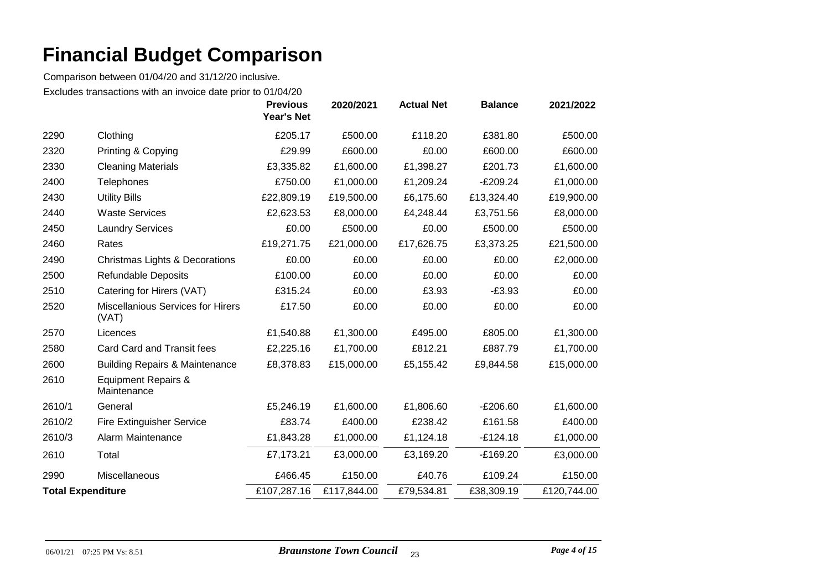|                          |                                                   | <b>Previous</b><br>Year's Net | 2020/2021   | <b>Actual Net</b> | <b>Balance</b> | 2021/2022   |
|--------------------------|---------------------------------------------------|-------------------------------|-------------|-------------------|----------------|-------------|
| 2290                     | Clothing                                          | £205.17                       | £500.00     | £118.20           | £381.80        | £500.00     |
| 2320                     | Printing & Copying                                | £29.99                        | £600.00     | £0.00             | £600.00        | £600.00     |
| 2330                     | <b>Cleaning Materials</b>                         | £3,335.82                     | £1,600.00   | £1,398.27         | £201.73        | £1,600.00   |
| 2400                     | <b>Telephones</b>                                 | £750.00                       | £1,000.00   | £1,209.24         | $-E209.24$     | £1,000.00   |
| 2430                     | <b>Utility Bills</b>                              | £22,809.19                    | £19,500.00  | £6,175.60         | £13,324.40     | £19,900.00  |
| 2440                     | <b>Waste Services</b>                             | £2,623.53                     | £8,000.00   | £4,248.44         | £3,751.56      | £8,000.00   |
| 2450                     | <b>Laundry Services</b>                           | £0.00                         | £500.00     | £0.00             | £500.00        | £500.00     |
| 2460                     | Rates                                             | £19,271.75                    | £21,000.00  | £17,626.75        | £3,373.25      | £21,500.00  |
| 2490                     | Christmas Lights & Decorations                    | £0.00                         | £0.00       | £0.00             | £0.00          | £2,000.00   |
| 2500                     | <b>Refundable Deposits</b>                        | £100.00                       | £0.00       | £0.00             | £0.00          | £0.00       |
| 2510                     | Catering for Hirers (VAT)                         | £315.24                       | £0.00       | £3.93             | $-E3.93$       | £0.00       |
| 2520                     | <b>Miscellanious Services for Hirers</b><br>(VAT) | £17.50                        | £0.00       | £0.00             | £0.00          | £0.00       |
| 2570                     | Licences                                          | £1,540.88                     | £1,300.00   | £495.00           | £805.00        | £1,300.00   |
| 2580                     | <b>Card Card and Transit fees</b>                 | £2,225.16                     | £1,700.00   | £812.21           | £887.79        | £1,700.00   |
| 2600                     | <b>Building Repairs &amp; Maintenance</b>         | £8,378.83                     | £15,000.00  | £5,155.42         | £9,844.58      | £15,000.00  |
| 2610                     | <b>Equipment Repairs &amp;</b><br>Maintenance     |                               |             |                   |                |             |
| 2610/1                   | General                                           | £5,246.19                     | £1,600.00   | £1,806.60         | $-E206.60$     | £1,600.00   |
| 2610/2                   | <b>Fire Extinguisher Service</b>                  | £83.74                        | £400.00     | £238.42           | £161.58        | £400.00     |
| 2610/3                   | Alarm Maintenance                                 | £1,843.28                     | £1,000.00   | £1,124.18         | $-£124.18$     | £1,000.00   |
| 2610                     | Total                                             | £7,173.21                     | £3,000.00   | £3,169.20         | $-E169.20$     | £3,000.00   |
| 2990                     | Miscellaneous                                     | £466.45                       | £150.00     | £40.76            | £109.24        | £150.00     |
| <b>Total Expenditure</b> |                                                   | £107,287.16                   | £117,844.00 | £79,534.81        | £38,309.19     | £120,744.00 |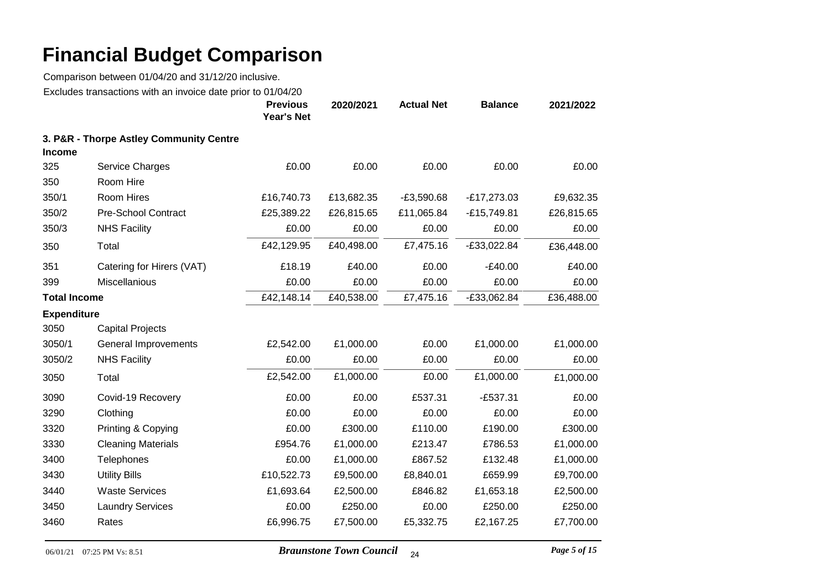Comparison between 01/04/20 and 31/12/20 inclusive.

Excludes transactions with an invoice date prior to 01/04/20

|                     |                                         | <b>Previous</b><br><b>Year's Net</b> | 2020/2021  | <b>Actual Net</b> | <b>Balance</b> | 2021/2022  |
|---------------------|-----------------------------------------|--------------------------------------|------------|-------------------|----------------|------------|
| <b>Income</b>       | 3. P&R - Thorpe Astley Community Centre |                                      |            |                   |                |            |
| 325                 | Service Charges                         | £0.00                                | £0.00      | £0.00             | £0.00          | £0.00      |
| 350                 | Room Hire                               |                                      |            |                   |                |            |
| 350/1               | Room Hires                              | £16,740.73                           | £13,682.35 | $-E3,590.68$      | $-E17,273.03$  | £9,632.35  |
| 350/2               | <b>Pre-School Contract</b>              | £25,389.22                           | £26,815.65 | £11,065.84        | $-E15,749.81$  | £26,815.65 |
| 350/3               | <b>NHS Facility</b>                     | £0.00                                | £0.00      | £0.00             | £0.00          | £0.00      |
| 350                 | Total                                   | £42,129.95                           | £40,498.00 | £7,475.16         | $-£33,022.84$  | £36,448.00 |
| 351                 | Catering for Hirers (VAT)               | £18.19                               | £40.00     | £0.00             | $-E40.00$      | £40.00     |
| 399                 | Miscellanious                           | £0.00                                | £0.00      | £0.00             | £0.00          | £0.00      |
| <b>Total Income</b> |                                         | £42,148.14                           | £40,538.00 | £7,475.16         | $-£33,062.84$  | £36,488.00 |
| <b>Expenditure</b>  |                                         |                                      |            |                   |                |            |
| 3050                | <b>Capital Projects</b>                 |                                      |            |                   |                |            |
| 3050/1              | General Improvements                    | £2,542.00                            | £1,000.00  | £0.00             | £1,000.00      | £1,000.00  |
| 3050/2              | <b>NHS Facility</b>                     | £0.00                                | £0.00      | £0.00             | £0.00          | £0.00      |
| 3050                | Total                                   | £2,542.00                            | £1,000.00  | £0.00             | £1,000.00      | £1,000.00  |
| 3090                | Covid-19 Recovery                       | £0.00                                | £0.00      | £537.31           | $-£537.31$     | £0.00      |
| 3290                | Clothing                                | £0.00                                | £0.00      | £0.00             | £0.00          | £0.00      |
| 3320                | Printing & Copying                      | £0.00                                | £300.00    | £110.00           | £190.00        | £300.00    |
| 3330                | <b>Cleaning Materials</b>               | £954.76                              | £1,000.00  | £213.47           | £786.53        | £1,000.00  |
| 3400                | Telephones                              | £0.00                                | £1,000.00  | £867.52           | £132.48        | £1,000.00  |
| 3430                | <b>Utility Bills</b>                    | £10,522.73                           | £9,500.00  | £8,840.01         | £659.99        | £9,700.00  |
| 3440                | <b>Waste Services</b>                   | £1,693.64                            | £2,500.00  | £846.82           | £1,653.18      | £2,500.00  |
| 3450                | <b>Laundry Services</b>                 | £0.00                                | £250.00    | £0.00             | £250.00        | £250.00    |
| 3460                | Rates                                   | £6,996.75                            | £7,500.00  | £5,332.75         | £2,167.25      | £7,700.00  |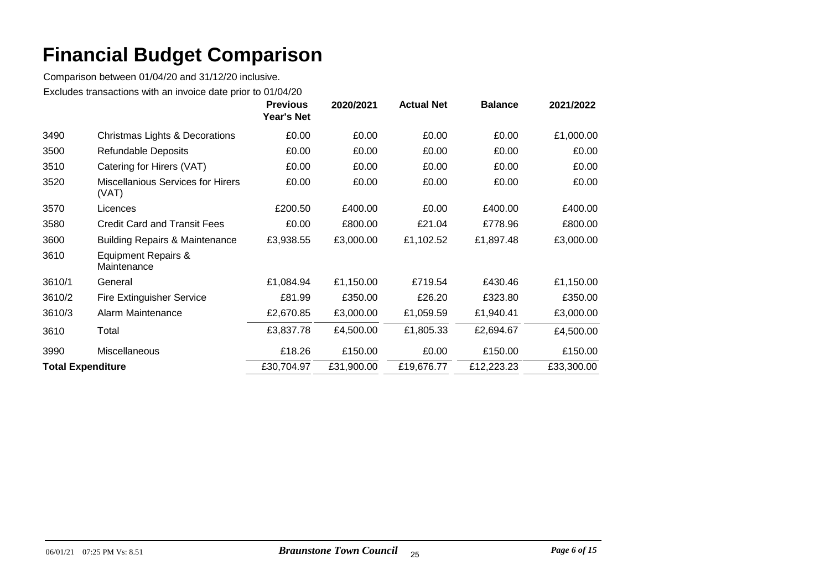|                          |                                                   | <b>Previous</b><br><b>Year's Net</b> | 2020/2021  | <b>Actual Net</b> | <b>Balance</b> | 2021/2022  |
|--------------------------|---------------------------------------------------|--------------------------------------|------------|-------------------|----------------|------------|
| 3490                     | Christmas Lights & Decorations                    | £0.00                                | £0.00      | £0.00             | £0.00          | £1,000.00  |
| 3500                     | <b>Refundable Deposits</b>                        | £0.00                                | £0.00      | £0.00             | £0.00          | £0.00      |
| 3510                     | Catering for Hirers (VAT)                         | £0.00                                | £0.00      | £0.00             | £0.00          | £0.00      |
| 3520                     | <b>Miscellanious Services for Hirers</b><br>(VAT) | £0.00                                | £0.00      | £0.00             | £0.00          | £0.00      |
| 3570                     | Licences                                          | £200.50                              | £400.00    | £0.00             | £400.00        | £400.00    |
| 3580                     | <b>Credit Card and Transit Fees</b>               | £0.00                                | £800.00    | £21.04            | £778.96        | £800.00    |
| 3600                     | <b>Building Repairs &amp; Maintenance</b>         | £3,938.55                            | £3,000.00  | £1,102.52         | £1,897.48      | £3,000.00  |
| 3610                     | <b>Equipment Repairs &amp;</b><br>Maintenance     |                                      |            |                   |                |            |
| 3610/1                   | General                                           | £1,084.94                            | £1,150.00  | £719.54           | £430.46        | £1,150.00  |
| 3610/2                   | <b>Fire Extinguisher Service</b>                  | £81.99                               | £350.00    | £26.20            | £323.80        | £350.00    |
| 3610/3                   | Alarm Maintenance                                 | £2,670.85                            | £3,000.00  | £1,059.59         | £1,940.41      | £3,000.00  |
| 3610                     | Total                                             | £3,837.78                            | £4,500.00  | £1,805.33         | £2,694.67      | £4,500.00  |
| 3990                     | <b>Miscellaneous</b>                              | £18.26                               | £150.00    | £0.00             | £150.00        | £150.00    |
| <b>Total Expenditure</b> |                                                   | £30,704.97                           | £31,900.00 | £19,676.77        | £12,223.23     | £33,300.00 |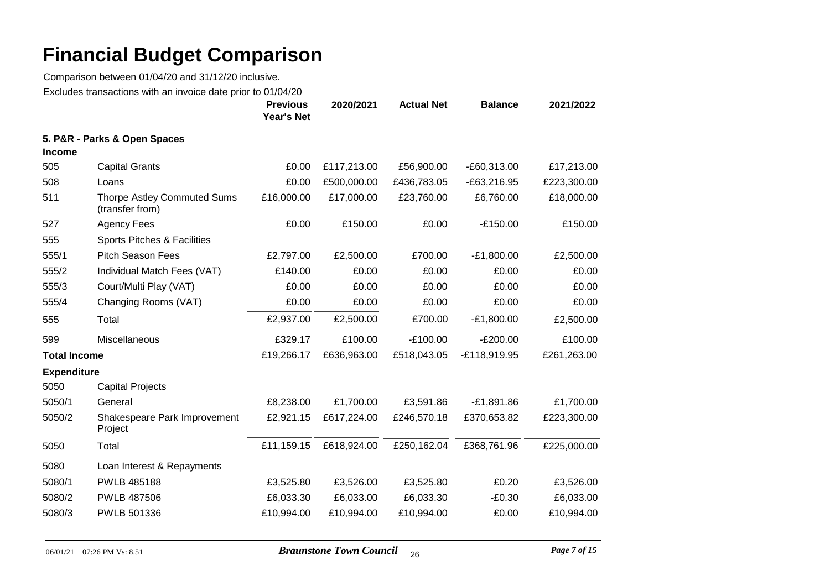|                     |                                                       | <b>Previous</b><br><b>Year's Net</b> | 2020/2021   | <b>Actual Net</b> | <b>Balance</b> | 2021/2022   |
|---------------------|-------------------------------------------------------|--------------------------------------|-------------|-------------------|----------------|-------------|
| <b>Income</b>       | 5. P&R - Parks & Open Spaces                          |                                      |             |                   |                |             |
| 505                 | <b>Capital Grants</b>                                 | £0.00                                | £117,213.00 | £56,900.00        | $-E60,313.00$  | £17,213.00  |
| 508                 | Loans                                                 | £0.00                                | £500,000.00 | £436,783.05       | $-E63,216.95$  | £223,300.00 |
| 511                 | <b>Thorpe Astley Commuted Sums</b><br>(transfer from) | £16,000.00                           | £17,000.00  | £23,760.00        | £6,760.00      | £18,000.00  |
| 527                 | <b>Agency Fees</b>                                    | £0.00                                | £150.00     | £0.00             | $-E150.00$     | £150.00     |
| 555                 | Sports Pitches & Facilities                           |                                      |             |                   |                |             |
| 555/1               | <b>Pitch Season Fees</b>                              | £2,797.00                            | £2,500.00   | £700.00           | $-E1,800.00$   | £2,500.00   |
| 555/2               | Individual Match Fees (VAT)                           | £140.00                              | £0.00       | £0.00             | £0.00          | £0.00       |
| 555/3               | Court/Multi Play (VAT)                                | £0.00                                | £0.00       | £0.00             | £0.00          | £0.00       |
| 555/4               | Changing Rooms (VAT)                                  | £0.00                                | £0.00       | £0.00             | £0.00          | £0.00       |
| 555                 | Total                                                 | £2,937.00                            | £2,500.00   | £700.00           | $-E1,800.00$   | £2,500.00   |
| 599                 | Miscellaneous                                         | £329.17                              | £100.00     | $-E100.00$        | $-E200.00$     | £100.00     |
| <b>Total Income</b> |                                                       | £19,266.17                           | £636,963.00 | £518,043.05       | -£118,919.95   | £261,263.00 |
| <b>Expenditure</b>  |                                                       |                                      |             |                   |                |             |
| 5050                | <b>Capital Projects</b>                               |                                      |             |                   |                |             |
| 5050/1              | General                                               | £8,238.00                            | £1,700.00   | £3,591.86         | $-E1,891.86$   | £1,700.00   |
| 5050/2              | Shakespeare Park Improvement<br>Project               | £2,921.15                            | £617,224.00 | £246,570.18       | £370,653.82    | £223,300.00 |
| 5050                | Total                                                 | £11,159.15                           | £618,924.00 | £250,162.04       | £368,761.96    | £225,000.00 |
| 5080                | Loan Interest & Repayments                            |                                      |             |                   |                |             |
| 5080/1              | <b>PWLB 485188</b>                                    | £3,525.80                            | £3,526.00   | £3,525.80         | £0.20          | £3,526.00   |
| 5080/2              | <b>PWLB 487506</b>                                    | £6,033.30                            | £6,033.00   | £6,033.30         | $-£0.30$       | £6,033.00   |
| 5080/3              | PWLB 501336                                           | £10,994.00                           | £10,994.00  | £10,994.00        | £0.00          | £10,994.00  |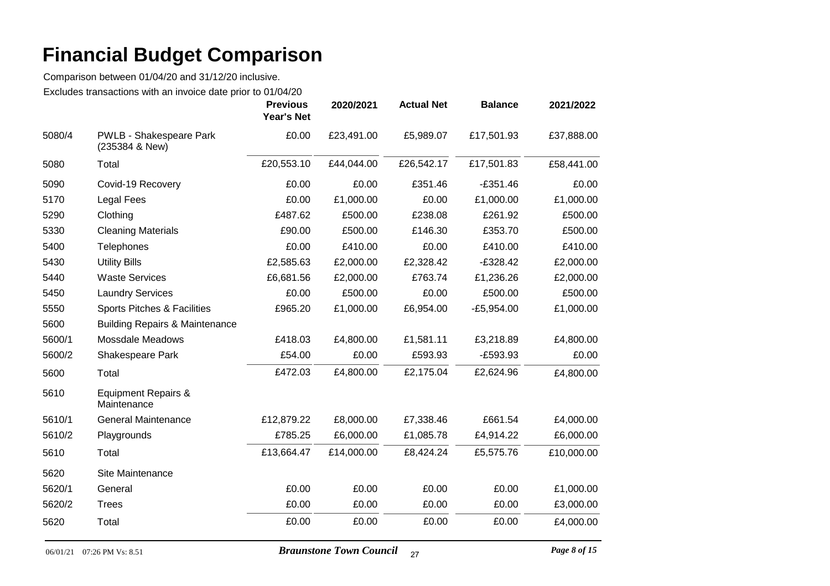|        |                                                  | <b>Previous</b><br><b>Year's Net</b> | 2020/2021  | <b>Actual Net</b> | <b>Balance</b> | 2021/2022  |
|--------|--------------------------------------------------|--------------------------------------|------------|-------------------|----------------|------------|
| 5080/4 | <b>PWLB - Shakespeare Park</b><br>(235384 & New) | £0.00                                | £23,491.00 | £5,989.07         | £17,501.93     | £37,888.00 |
| 5080   | Total                                            | £20,553.10                           | £44,044.00 | £26,542.17        | £17,501.83     | £58,441.00 |
| 5090   | Covid-19 Recovery                                | £0.00                                | £0.00      | £351.46           | $-£351.46$     | £0.00      |
| 5170   | Legal Fees                                       | £0.00                                | £1,000.00  | £0.00             | £1,000.00      | £1,000.00  |
| 5290   | Clothing                                         | £487.62                              | £500.00    | £238.08           | £261.92        | £500.00    |
| 5330   | <b>Cleaning Materials</b>                        | £90.00                               | £500.00    | £146.30           | £353.70        | £500.00    |
| 5400   | Telephones                                       | £0.00                                | £410.00    | £0.00             | £410.00        | £410.00    |
| 5430   | <b>Utility Bills</b>                             | £2,585.63                            | £2,000.00  | £2,328.42         | $-£328.42$     | £2,000.00  |
| 5440   | <b>Waste Services</b>                            | £6,681.56                            | £2,000.00  | £763.74           | £1,236.26      | £2,000.00  |
| 5450   | <b>Laundry Services</b>                          | £0.00                                | £500.00    | £0.00             | £500.00        | £500.00    |
| 5550   | Sports Pitches & Facilities                      | £965.20                              | £1,000.00  | £6,954.00         | $-E5,954.00$   | £1,000.00  |
| 5600   | <b>Building Repairs &amp; Maintenance</b>        |                                      |            |                   |                |            |
| 5600/1 | <b>Mossdale Meadows</b>                          | £418.03                              | £4,800.00  | £1,581.11         | £3,218.89      | £4,800.00  |
| 5600/2 | Shakespeare Park                                 | £54.00                               | £0.00      | £593.93           | $-E593.93$     | £0.00      |
| 5600   | Total                                            | £472.03                              | £4,800.00  | £2,175.04         | £2,624.96      | £4,800.00  |
| 5610   | Equipment Repairs &<br>Maintenance               |                                      |            |                   |                |            |
| 5610/1 | <b>General Maintenance</b>                       | £12,879.22                           | £8,000.00  | £7,338.46         | £661.54        | £4,000.00  |
| 5610/2 | Playgrounds                                      | £785.25                              | £6,000.00  | £1,085.78         | £4,914.22      | £6,000.00  |
| 5610   | Total                                            | £13,664.47                           | £14,000.00 | £8,424.24         | £5,575.76      | £10,000.00 |
| 5620   | Site Maintenance                                 |                                      |            |                   |                |            |
| 5620/1 | General                                          | £0.00                                | £0.00      | £0.00             | £0.00          | £1,000.00  |
| 5620/2 | <b>Trees</b>                                     | £0.00                                | £0.00      | £0.00             | £0.00          | £3,000.00  |
| 5620   | Total                                            | £0.00                                | £0.00      | £0.00             | £0.00          | £4,000.00  |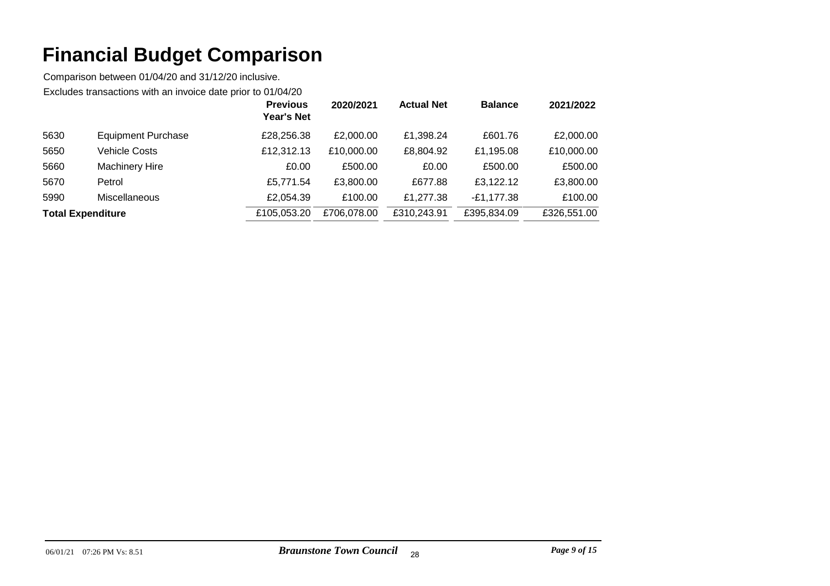|                          |                           | <b>Previous</b><br><b>Year's Net</b> | 2020/2021   | <b>Actual Net</b> | <b>Balance</b> | 2021/2022   |
|--------------------------|---------------------------|--------------------------------------|-------------|-------------------|----------------|-------------|
| 5630                     | <b>Equipment Purchase</b> | £28,256.38                           | £2,000.00   | £1,398.24         | £601.76        | £2,000.00   |
| 5650                     | Vehicle Costs             | £12,312.13                           | £10,000.00  | £8,804.92         | £1,195.08      | £10,000.00  |
| 5660                     | <b>Machinery Hire</b>     | £0.00                                | £500.00     | £0.00             | £500.00        | £500.00     |
| 5670                     | Petrol                    | £5,771.54                            | £3,800.00   | £677.88           | £3,122.12      | £3,800.00   |
| 5990                     | <b>Miscellaneous</b>      | £2,054.39                            | £100.00     | £1,277.38         | $-E1,177.38$   | £100.00     |
| <b>Total Expenditure</b> |                           | £105,053.20                          | £706,078.00 | £310,243.91       | £395,834.09    | £326,551.00 |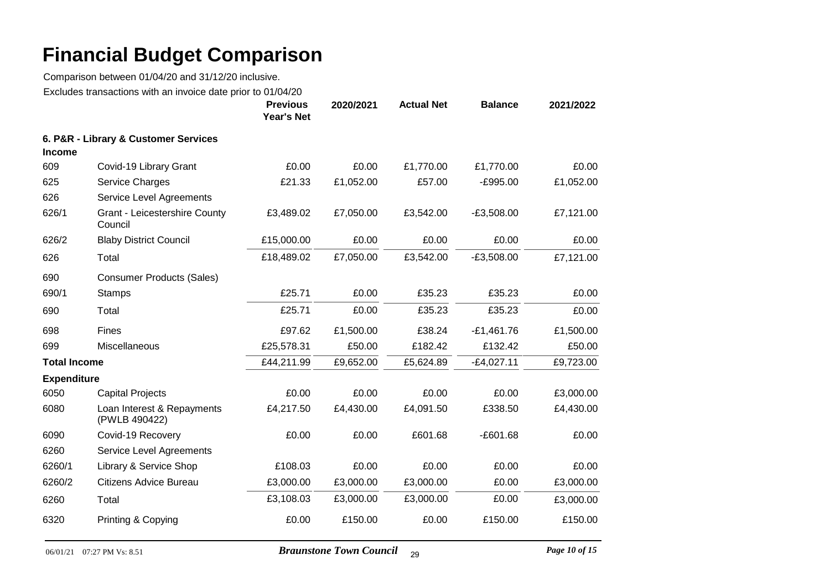|                     | LAGRACS MANGAGNONG WINT ON INVOICE GAIL PHOT    | <b>Previous</b><br><b>Year's Net</b> | 2020/2021 | <b>Actual Net</b> | <b>Balance</b> | 2021/2022 |
|---------------------|-------------------------------------------------|--------------------------------------|-----------|-------------------|----------------|-----------|
| <b>Income</b>       | 6. P&R - Library & Customer Services            |                                      |           |                   |                |           |
| 609                 | Covid-19 Library Grant                          | £0.00                                | £0.00     | £1,770.00         | £1,770.00      | £0.00     |
| 625                 | Service Charges                                 | £21.33                               | £1,052.00 | £57.00            | $-E995.00$     | £1,052.00 |
| 626                 | Service Level Agreements                        |                                      |           |                   |                |           |
| 626/1               | <b>Grant - Leicestershire County</b><br>Council | £3,489.02                            | £7,050.00 | £3,542.00         | $-E3,508.00$   | £7,121.00 |
| 626/2               | <b>Blaby District Council</b>                   | £15,000.00                           | £0.00     | £0.00             | £0.00          | £0.00     |
| 626                 | Total                                           | £18,489.02                           | £7,050.00 | £3,542.00         | $-E3,508.00$   | £7,121.00 |
| 690                 | <b>Consumer Products (Sales)</b>                |                                      |           |                   |                |           |
| 690/1               | <b>Stamps</b>                                   | £25.71                               | £0.00     | £35.23            | £35.23         | £0.00     |
| 690                 | Total                                           | £25.71                               | £0.00     | £35.23            | £35.23         | £0.00     |
| 698                 | Fines                                           | £97.62                               | £1,500.00 | £38.24            | $-£1,461.76$   | £1,500.00 |
| 699                 | Miscellaneous                                   | £25,578.31                           | £50.00    | £182.42           | £132.42        | £50.00    |
| <b>Total Income</b> |                                                 | £44,211.99                           | £9,652.00 | £5,624.89         | $-E4,027.11$   | £9,723.00 |
| <b>Expenditure</b>  |                                                 |                                      |           |                   |                |           |
| 6050                | <b>Capital Projects</b>                         | £0.00                                | £0.00     | £0.00             | £0.00          | £3,000.00 |
| 6080                | Loan Interest & Repayments<br>(PWLB 490422)     | £4,217.50                            | £4,430.00 | £4,091.50         | £338.50        | £4,430.00 |
| 6090                | Covid-19 Recovery                               | £0.00                                | £0.00     | £601.68           | $-£601.68$     | £0.00     |
| 6260                | Service Level Agreements                        |                                      |           |                   |                |           |
| 6260/1              | Library & Service Shop                          | £108.03                              | £0.00     | £0.00             | £0.00          | £0.00     |
| 6260/2              | <b>Citizens Advice Bureau</b>                   | £3,000.00                            | £3,000.00 | £3,000.00         | £0.00          | £3,000.00 |
| 6260                | Total                                           | £3,108.03                            | £3,000.00 | £3,000.00         | £0.00          | £3,000.00 |
| 6320                | Printing & Copying                              | £0.00                                | £150.00   | £0.00             | £150.00        | £150.00   |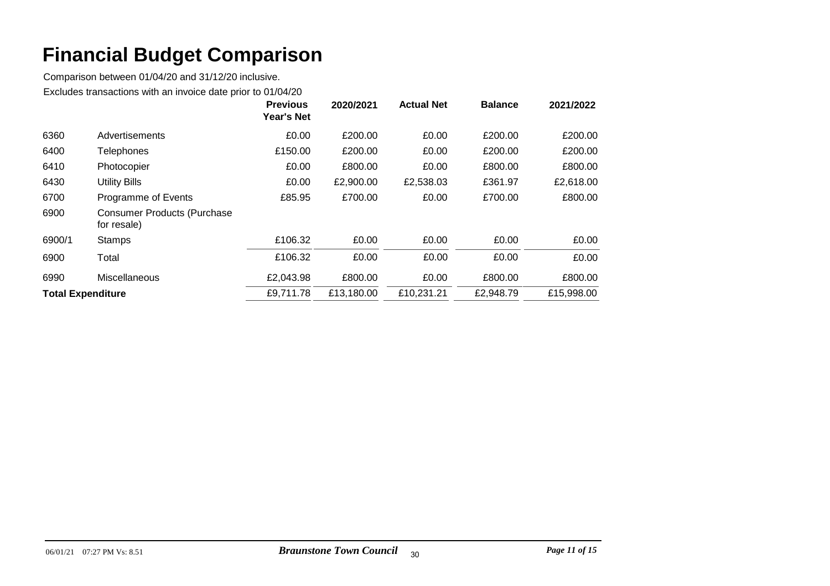|                          |                                                   | <b>Previous</b><br><b>Year's Net</b> | 2020/2021  | <b>Actual Net</b> | <b>Balance</b> | 2021/2022  |
|--------------------------|---------------------------------------------------|--------------------------------------|------------|-------------------|----------------|------------|
| 6360                     | Advertisements                                    | £0.00                                | £200.00    | £0.00             | £200.00        | £200.00    |
| 6400                     | <b>Telephones</b>                                 | £150.00                              | £200.00    | £0.00             | £200.00        | £200.00    |
| 6410                     | Photocopier                                       | £0.00                                | £800.00    | £0.00             | £800.00        | £800.00    |
| 6430                     | <b>Utility Bills</b>                              | £0.00                                | £2,900.00  | £2,538.03         | £361.97        | £2,618.00  |
| 6700                     | Programme of Events                               | £85.95                               | £700.00    | £0.00             | £700.00        | £800.00    |
| 6900                     | <b>Consumer Products (Purchase</b><br>for resale) |                                      |            |                   |                |            |
| 6900/1                   | <b>Stamps</b>                                     | £106.32                              | £0.00      | £0.00             | £0.00          | £0.00      |
| 6900                     | Total                                             | £106.32                              | £0.00      | £0.00             | £0.00          | £0.00      |
| 6990                     | Miscellaneous                                     | £2,043.98                            | £800.00    | £0.00             | £800.00        | £800.00    |
| <b>Total Expenditure</b> |                                                   | £9,711.78                            | £13,180.00 | £10,231.21        | £2,948.79      | £15,998.00 |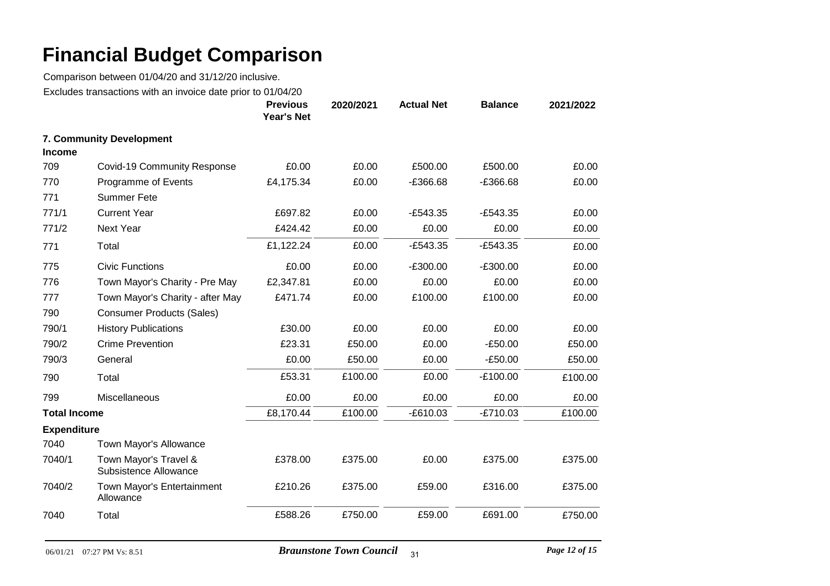|                     | LAGUUGO HUHSUGUOHO WIHTUH HIVOIGO UUG PHOT IO 0 1704/20 | <b>Previous</b><br><b>Year's Net</b> | 2020/2021 | <b>Actual Net</b> | <b>Balance</b> | 2021/2022 |
|---------------------|---------------------------------------------------------|--------------------------------------|-----------|-------------------|----------------|-----------|
| <b>Income</b>       | 7. Community Development                                |                                      |           |                   |                |           |
| 709                 | Covid-19 Community Response                             | £0.00                                | £0.00     | £500.00           | £500.00        | £0.00     |
| 770                 | Programme of Events                                     | £4,175.34                            | £0.00     | $-£366.68$        | $-£366.68$     | £0.00     |
| 771                 | <b>Summer Fete</b>                                      |                                      |           |                   |                |           |
| 771/1               | <b>Current Year</b>                                     | £697.82                              | £0.00     | $-E543.35$        | $-E543.35$     | £0.00     |
| 771/2               | <b>Next Year</b>                                        | £424.42                              | £0.00     | £0.00             | £0.00          | £0.00     |
| 771                 | Total                                                   | £1,122.24                            | £0.00     | $-E543.35$        | $-E543.35$     | £0.00     |
| 775                 | <b>Civic Functions</b>                                  | £0.00                                | £0.00     | $-£300.00$        | $-£300.00$     | £0.00     |
| 776                 | Town Mayor's Charity - Pre May                          | £2,347.81                            | £0.00     | £0.00             | £0.00          | £0.00     |
| 777                 | Town Mayor's Charity - after May                        | £471.74                              | £0.00     | £100.00           | £100.00        | £0.00     |
| 790                 | <b>Consumer Products (Sales)</b>                        |                                      |           |                   |                |           |
| 790/1               | <b>History Publications</b>                             | £30.00                               | £0.00     | £0.00             | £0.00          | £0.00     |
| 790/2               | <b>Crime Prevention</b>                                 | £23.31                               | £50.00    | £0.00             | $-£50.00$      | £50.00    |
| 790/3               | General                                                 | £0.00                                | £50.00    | £0.00             | $-£50.00$      | £50.00    |
| 790                 | Total                                                   | £53.31                               | £100.00   | £0.00             | $-E100.00$     | £100.00   |
| 799                 | Miscellaneous                                           | £0.00                                | £0.00     | £0.00             | £0.00          | £0.00     |
| <b>Total Income</b> |                                                         | £8,170.44                            | £100.00   | $-£610.03$        | $-E710.03$     | £100.00   |
| <b>Expenditure</b>  |                                                         |                                      |           |                   |                |           |
| 7040                | Town Mayor's Allowance                                  |                                      |           |                   |                |           |
| 7040/1              | Town Mayor's Travel &<br>Subsistence Allowance          | £378.00                              | £375.00   | £0.00             | £375.00        | £375.00   |
| 7040/2              | Town Mayor's Entertainment<br>Allowance                 | £210.26                              | £375.00   | £59.00            | £316.00        | £375.00   |
| 7040                | Total                                                   | £588.26                              | £750.00   | £59.00            | £691.00        | £750.00   |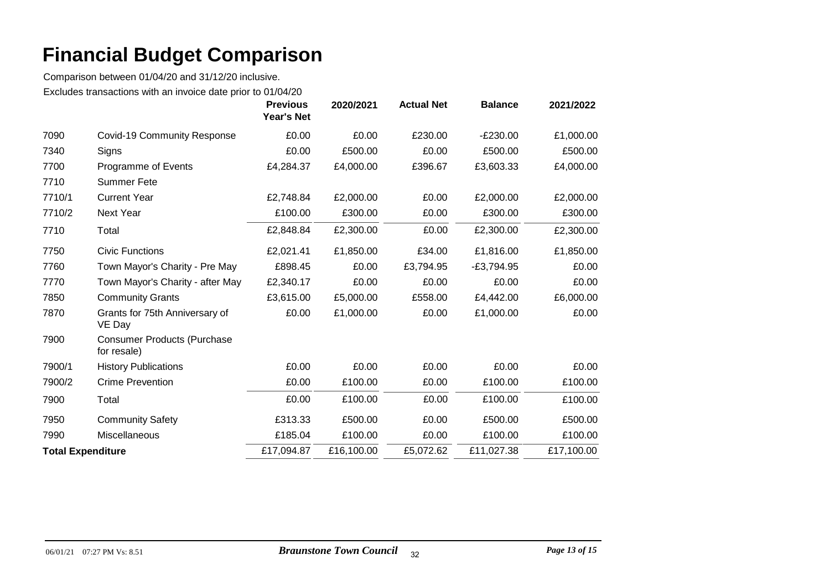|                          |                                                   | <b>Previous</b><br><b>Year's Net</b> | 2020/2021  | <b>Actual Net</b> | <b>Balance</b> | 2021/2022  |
|--------------------------|---------------------------------------------------|--------------------------------------|------------|-------------------|----------------|------------|
| 7090                     | <b>Covid-19 Community Response</b>                | £0.00                                | £0.00      | £230.00           | $-E230.00$     | £1,000.00  |
| 7340                     | Signs                                             | £0.00                                | £500.00    | £0.00             | £500.00        | £500.00    |
| 7700                     | Programme of Events                               | £4,284.37                            | £4,000.00  | £396.67           | £3,603.33      | £4,000.00  |
| 7710                     | <b>Summer Fete</b>                                |                                      |            |                   |                |            |
| 7710/1                   | <b>Current Year</b>                               | £2,748.84                            | £2,000.00  | £0.00             | £2,000.00      | £2,000.00  |
| 7710/2                   | <b>Next Year</b>                                  | £100.00                              | £300.00    | £0.00             | £300.00        | £300.00    |
| 7710                     | Total                                             | £2,848.84                            | £2,300.00  | £0.00             | £2,300.00      | £2,300.00  |
| 7750                     | <b>Civic Functions</b>                            | £2,021.41                            | £1,850.00  | £34.00            | £1,816.00      | £1,850.00  |
| 7760                     | Town Mayor's Charity - Pre May                    | £898.45                              | £0.00      | £3,794.95         | $-E3,794.95$   | £0.00      |
| 7770                     | Town Mayor's Charity - after May                  | £2,340.17                            | £0.00      | £0.00             | £0.00          | £0.00      |
| 7850                     | <b>Community Grants</b>                           | £3,615.00                            | £5,000.00  | £558.00           | £4,442.00      | £6,000.00  |
| 7870                     | Grants for 75th Anniversary of<br>VE Day          | £0.00                                | £1,000.00  | £0.00             | £1,000.00      | £0.00      |
| 7900                     | <b>Consumer Products (Purchase</b><br>for resale) |                                      |            |                   |                |            |
| 7900/1                   | <b>History Publications</b>                       | £0.00                                | £0.00      | £0.00             | £0.00          | £0.00      |
| 7900/2                   | <b>Crime Prevention</b>                           | £0.00                                | £100.00    | £0.00             | £100.00        | £100.00    |
| 7900                     | Total                                             | £0.00                                | £100.00    | £0.00             | £100.00        | £100.00    |
| 7950                     | <b>Community Safety</b>                           | £313.33                              | £500.00    | £0.00             | £500.00        | £500.00    |
| 7990                     | Miscellaneous                                     | £185.04                              | £100.00    | £0.00             | £100.00        | £100.00    |
| <b>Total Expenditure</b> |                                                   | £17,094.87                           | £16,100.00 | £5,072.62         | £11,027.38     | £17,100.00 |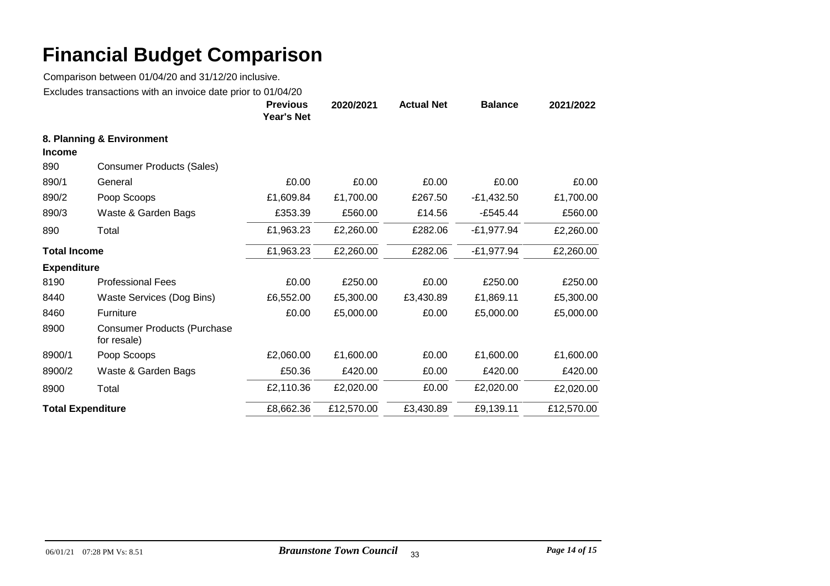|                          |                                                   | <b>Previous</b><br><b>Year's Net</b> | 2020/2021  | <b>Actual Net</b> | <b>Balance</b> | 2021/2022  |
|--------------------------|---------------------------------------------------|--------------------------------------|------------|-------------------|----------------|------------|
|                          | 8. Planning & Environment                         |                                      |            |                   |                |            |
| <b>Income</b>            |                                                   |                                      |            |                   |                |            |
| 890                      | <b>Consumer Products (Sales)</b>                  |                                      |            |                   |                |            |
| 890/1                    | General                                           | £0.00                                | £0.00      | £0.00             | £0.00          | £0.00      |
| 890/2                    | Poop Scoops                                       | £1,609.84                            | £1,700.00  | £267.50           | $-E1,432.50$   | £1,700.00  |
| 890/3                    | Waste & Garden Bags                               | £353.39                              | £560.00    | £14.56            | $-£545.44$     | £560.00    |
| 890                      | Total                                             | £1,963.23                            | £2,260.00  | £282.06           | $-£1,977.94$   | £2,260.00  |
| <b>Total Income</b>      |                                                   | £1,963.23                            | £2,260.00  | £282.06           | $-£1,977.94$   | £2,260.00  |
| <b>Expenditure</b>       |                                                   |                                      |            |                   |                |            |
| 8190                     | <b>Professional Fees</b>                          | £0.00                                | £250.00    | £0.00             | £250.00        | £250.00    |
| 8440                     | Waste Services (Dog Bins)                         | £6,552.00                            | £5,300.00  | £3,430.89         | £1,869.11      | £5,300.00  |
| 8460                     | Furniture                                         | £0.00                                | £5,000.00  | £0.00             | £5,000.00      | £5,000.00  |
| 8900                     | <b>Consumer Products (Purchase</b><br>for resale) |                                      |            |                   |                |            |
| 8900/1                   | Poop Scoops                                       | £2,060.00                            | £1,600.00  | £0.00             | £1,600.00      | £1,600.00  |
| 8900/2                   | Waste & Garden Bags                               | £50.36                               | £420.00    | £0.00             | £420.00        | £420.00    |
| 8900                     | Total                                             | £2,110.36                            | £2,020.00  | £0.00             | £2,020.00      | £2,020.00  |
| <b>Total Expenditure</b> |                                                   | £8,662.36                            | £12,570.00 | £3,430.89         | £9,139.11      | £12,570.00 |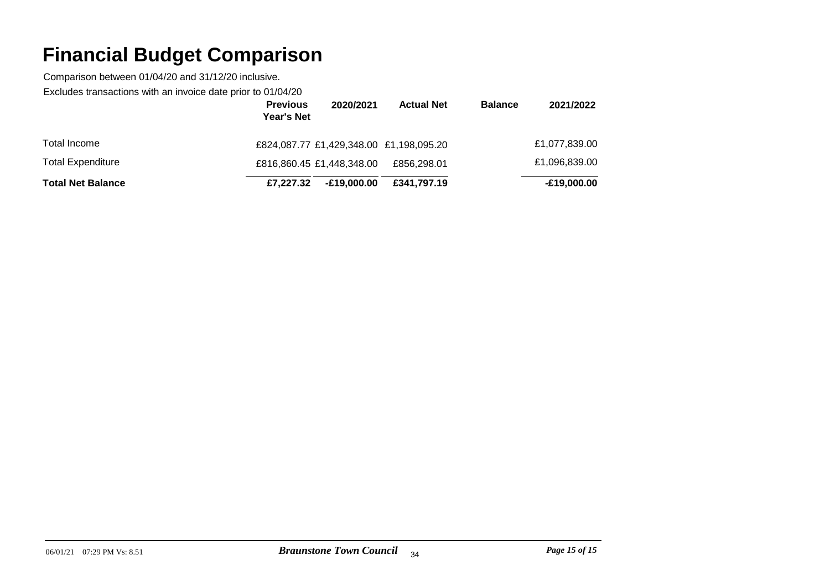Comparison between 01/04/20 and 31/12/20 inclusive.

Excludes transactions with an invoice date prior to 01/04/20

|                          | <b>Previous</b><br><b>Year's Net</b>    | 2020/2021   | <b>Actual Net</b> | <b>Balance</b> | 2021/2022     |
|--------------------------|-----------------------------------------|-------------|-------------------|----------------|---------------|
| Total Income             | £824,087.77 £1,429,348.00 £1,198,095.20 |             |                   |                | £1,077,839.00 |
| <b>Total Expenditure</b> | £816,860.45 £1,448,348.00               |             | £856,298.01       |                | £1,096,839.00 |
| <b>Total Net Balance</b> | £7,227,32                               | E19.000.00- | £341.797.19       |                | -£19,000.00   |